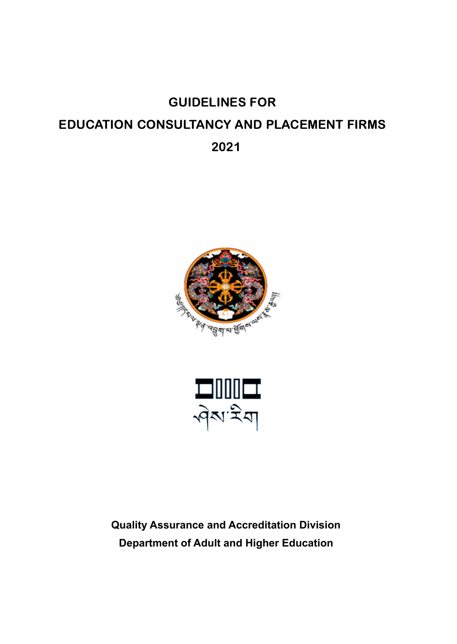# GUIDELINES FOR EDUCATION CONSULTANCY AND PLACEMENT FIRMS 2021





**Quality Assurance and Accreditation Division Department of Adult and Higher Education**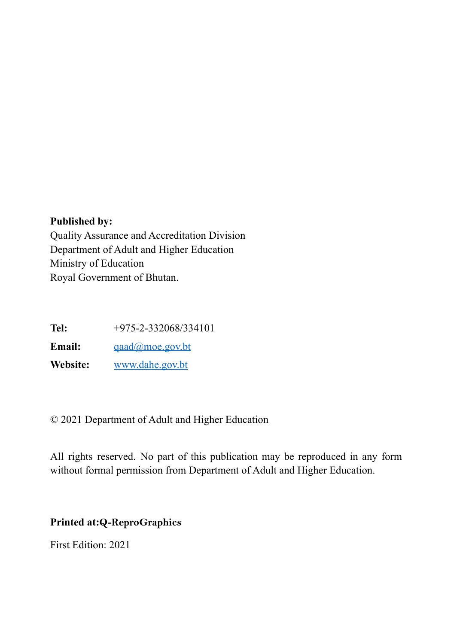#### **Published by:**

Quality Assurance and Accreditation Division Department of Adult and Higher Education Ministry of Education Royal Government of Bhutan.

**Tel:** +975-2-332068/334101

**Email:** [qaad@moe.gov.bt](mailto:qaad@moe.gov.bt)

**Website:** [www.dahe.gov.bt](http://www.dahe.gov.bt)

© 2021 Department of Adult and Higher Education

All rights reserved. No part of this publication may be reproduced in any form without formal permission from Department of Adult and Higher Education.

#### **Printed at:Q-ReproGraphics**

First Edition: 2021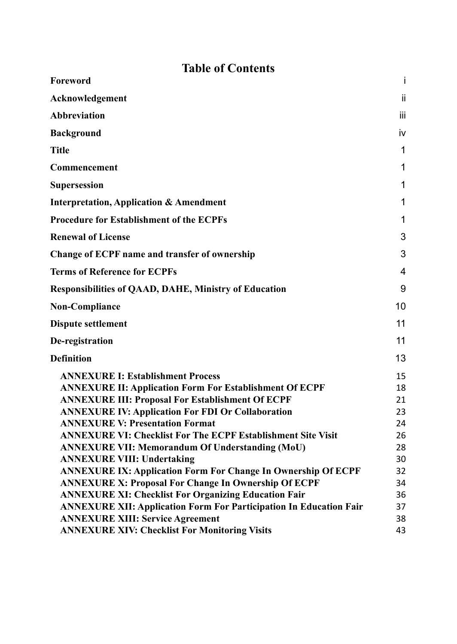# **Table of Contents**

| Foreword                                                                  | Ť            |
|---------------------------------------------------------------------------|--------------|
| Acknowledgement                                                           | ii.          |
| <b>Abbreviation</b>                                                       | iij          |
| <b>Background</b>                                                         | iv           |
| <b>Title</b>                                                              | $\mathbf{1}$ |
| <b>Commencement</b>                                                       | 1            |
| Supersession                                                              | 1            |
| <b>Interpretation, Application &amp; Amendment</b>                        | 1            |
| <b>Procedure for Establishment of the ECPFs</b>                           | 1            |
| <b>Renewal of License</b>                                                 | 3            |
| Change of ECPF name and transfer of ownership                             | 3            |
| <b>Terms of Reference for ECPFs</b>                                       | 4            |
| <b>Responsibilities of QAAD, DAHE, Ministry of Education</b>              | 9            |
| Non-Compliance                                                            | 10           |
| <b>Dispute settlement</b>                                                 | 11           |
| De-registration                                                           | 11           |
| <b>Definition</b>                                                         | 13           |
| <b>ANNEXURE I: Establishment Process</b>                                  | 15           |
| <b>ANNEXURE II: Application Form For Establishment Of ECPF</b>            | 18           |
| <b>ANNEXURE III: Proposal For Establishment Of ECPF</b>                   | 21           |
| <b>ANNEXURE IV: Application For FDI Or Collaboration</b>                  | 23           |
| <b>ANNEXURE V: Presentation Format</b>                                    | 24           |
| <b>ANNEXURE VI: Checklist For The ECPF Establishment Site Visit</b>       | 26           |
| <b>ANNEXURE VII: Memorandum Of Understanding (MoU)</b>                    | 28           |
| <b>ANNEXURE VIII: Undertaking</b>                                         | 30           |
| <b>ANNEXURE IX: Application Form For Change In Ownership Of ECPF</b>      | 32           |
| <b>ANNEXURE X: Proposal For Change In Ownership Of ECPF</b>               | 34           |
| <b>ANNEXURE XI: Checklist For Organizing Education Fair</b>               | 36           |
| <b>ANNEXURE XII: Application Form For Participation In Education Fair</b> | 37           |
| <b>ANNEXURE XIII: Service Agreement</b>                                   | 38           |
| <b>ANNEXURE XIV: Checklist For Monitoring Visits</b>                      | 43           |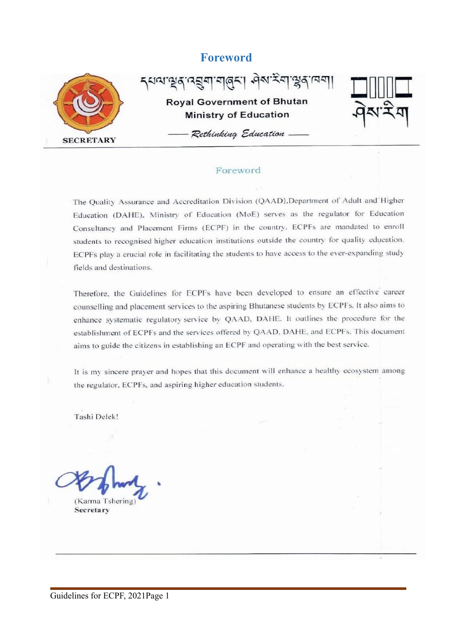#### **Foreword**

<span id="page-3-0"></span>

र्यव्यञ्चर्य वड्या बार्बरः। सेबन्द्रवाञ्जर **Royal Government of Bhutan Ministry of Education** 



- Rethinking Education -

#### Foreword

The Quality Assurance and Accreditation Division (QAAD), Department of Adult and Higher Education (DAHE), Ministry of Education (MoE) serves as the regulator for Education Consultancy and Placement Firms (ECPF) in the country. ECPFs are mandated to enroll students to recognised higher education institutions outside the country for quality education. ECPFs play a crucial role in facilitating the students to have access to the ever-expanding study fields and destinations.

Therefore, the Guidelines for ECPFs have been developed to ensure an effective career counselling and placement services to the aspiring Bhutanese students by ECPFs. It also aims to enhance systematic regulatory service by QAAD, DAHE. It outlines the procedure for the establishment of ECPFs and the services offered by QAAD, DAHE, and ECPFs. This document aims to guide the citizens in establishing an ECPF and operating with the best service.

It is my sincere prayer and hopes that this document will enhance a healthy ecosystem among the regulator, ECPFs, and aspiring higher education students.

Tashi Delek!

(Karma Tshering) Secretary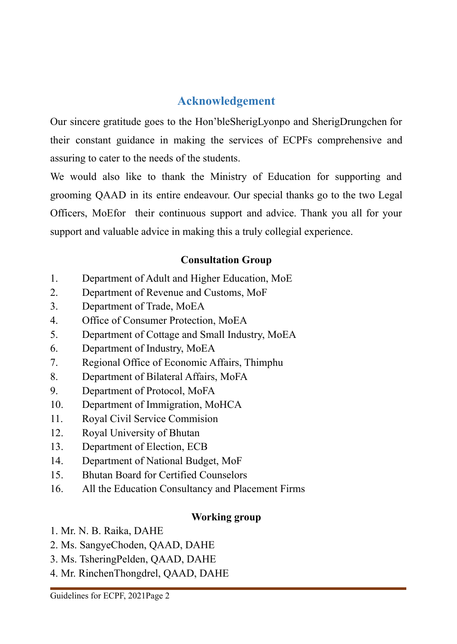# **Acknowledgement**

<span id="page-4-0"></span>Our sincere gratitude goes to the Hon'bleSherigLyonpo and SherigDrungchen for their constant guidance in making the services of ECPFs comprehensive and assuring to cater to the needs of the students.

We would also like to thank the Ministry of Education for supporting and grooming QAAD in its entire endeavour. Our special thanks go to the two Legal Officers, MoEfor their continuous support and advice. Thank you all for your support and valuable advice in making this a truly collegial experience.

# **Consultation Group**

- 1. Department of Adult and Higher Education, MoE
- 2. Department of Revenue and Customs, MoF
- 3. Department of Trade, MoEA
- 4. Office of Consumer Protection, MoEA
- 5. Department of Cottage and Small Industry, MoEA
- 6. Department of Industry, MoEA
- 7. Regional Office of Economic Affairs, Thimphu
- 8. Department of Bilateral Affairs, MoFA
- 9. Department of Protocol, MoFA
- 10. Department of Immigration, MoHCA
- 11. Royal Civil Service Commision
- 12. Royal University of Bhutan
- 13. Department of Election, ECB
- 14. Department of National Budget, MoF
- 15. Bhutan Board for Certified Counselors
- 16. All the Education Consultancy and Placement Firms

# **Working group**

- 1. Mr. N. B. Raika, DAHE
- 2. Ms. SangyeChoden, QAAD, DAHE
- 3. Ms. TsheringPelden, QAAD, DAHE
- 4. Mr. RinchenThongdrel, QAAD, DAHE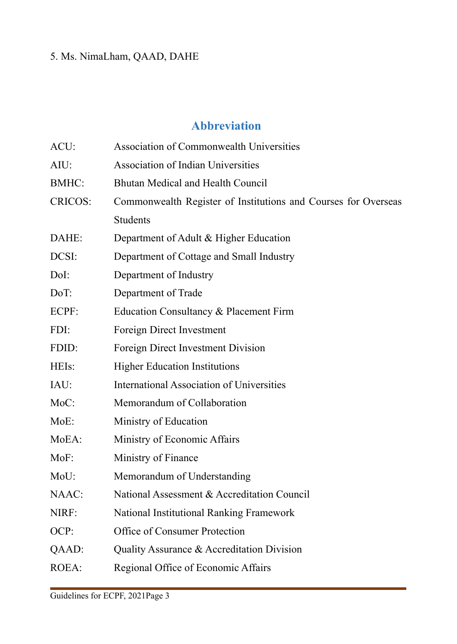# 5. Ms. NimaLham, QAAD, DAHE

# **Abbreviation**

<span id="page-5-0"></span>

| ACU:           | <b>Association of Commonwealth Universities</b>                |
|----------------|----------------------------------------------------------------|
| AIU:           | <b>Association of Indian Universities</b>                      |
| <b>BMHC:</b>   | Bhutan Medical and Health Council                              |
| <b>CRICOS:</b> | Commonwealth Register of Institutions and Courses for Overseas |
|                | <b>Students</b>                                                |
| DAHE:          | Department of Adult & Higher Education                         |
| DCSI:          | Department of Cottage and Small Industry                       |
| DoI:           | Department of Industry                                         |
| DoT:           | Department of Trade                                            |
| ECPF:          | Education Consultancy & Placement Firm                         |
| FDI:           | Foreign Direct Investment                                      |
| FDID:          | Foreign Direct Investment Division                             |
| HEIs:          | <b>Higher Education Institutions</b>                           |
| IAU:           | <b>International Association of Universities</b>               |
| MoC:           | Memorandum of Collaboration                                    |
| MoE:           | Ministry of Education                                          |
| MoEA:          | Ministry of Economic Affairs                                   |
| MoF:           | Ministry of Finance                                            |
| MoU:           | Memorandum of Understanding                                    |
| NAAC:          | National Assessment & Accreditation Council                    |
| NIRF:          | National Institutional Ranking Framework                       |
| OCP:           | Office of Consumer Protection                                  |
| QAAD:          | Quality Assurance & Accreditation Division                     |
| ROEA:          | Regional Office of Economic Affairs                            |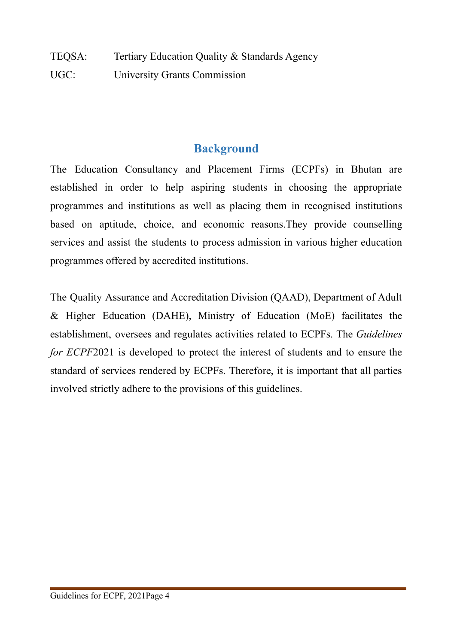TEQSA: Tertiary Education Quality & Standards Agency UGC: University Grants Commission

# **Background**

<span id="page-6-0"></span>The Education Consultancy and Placement Firms (ECPFs) in Bhutan are established in order to help aspiring students in choosing the appropriate programmes and institutions as well as placing them in recognised institutions based on aptitude, choice, and economic reasons.They provide counselling services and assist the students to process admission in various higher education programmes offered by accredited institutions.

The Quality Assurance and Accreditation Division (QAAD), Department of Adult & Higher Education (DAHE), Ministry of Education (MoE) facilitates the establishment, oversees and regulates activities related to ECPFs. The *Guidelines for ECPF*2021 is developed to protect the interest of students and to ensure the standard of services rendered by ECPFs. Therefore, it is important that all parties involved strictly adhere to the provisions of this guidelines.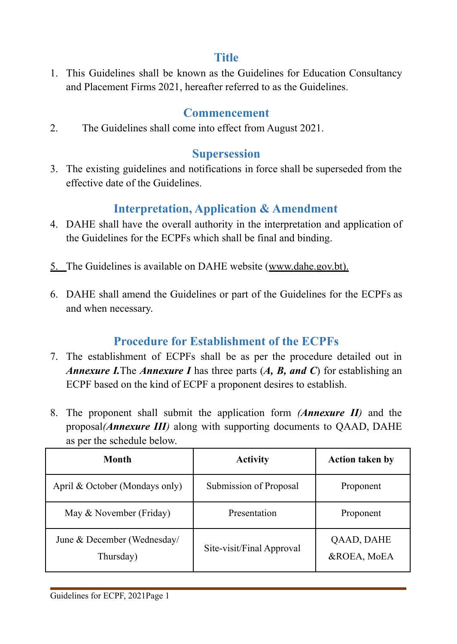# **Title**

<span id="page-7-0"></span>1. This Guidelines shall be known as the Guidelines for Education Consultancy and Placement Firms 2021, hereafter referred to as the Guidelines.

# **Commencement**

<span id="page-7-1"></span>2. The Guidelines shall come into effect from August 2021.

# **Supersession**

<span id="page-7-2"></span>3. The existing guidelines and notifications in force shall be superseded from the effective date of the Guidelines.

# **Interpretation, Application & Amendment**

- <span id="page-7-3"></span>4. DAHE shall have the overall authority in the interpretation and application of the Guidelines for the ECPFs which shall be final and binding.
- 5. The Guidelines is available on DAHE website ([www.dahe.gov.bt](http://www.dahe.gov.bt)).
- <span id="page-7-4"></span>6. DAHE shall amend the Guidelines or part of the Guidelines for the ECPFs as and when necessary.

# **Procedure for Establishment of the ECPFs**

- 7. The establishment of ECPFs shall be as per the procedure detailed out in *Annexure I.*The *Annexure I* has three parts (*A, B, and C*) for establishing an ECPF based on the kind of ECPF a proponent desires to establish.
- 8. The proponent shall submit the application form *(Annexure II)* and the proposal*(Annexure III)* along with supporting documents to QAAD, DAHE as per the schedule below.

| Month                                    | <b>Activity</b>           | <b>Action taken by</b>    |
|------------------------------------------|---------------------------|---------------------------|
| April & October (Mondays only)           | Submission of Proposal    | Proponent                 |
| May & November (Friday)                  | Presentation              | Proponent                 |
| June & December (Wednesday/<br>Thursday) | Site-visit/Final Approval | QAAD, DAHE<br>&ROEA, MoEA |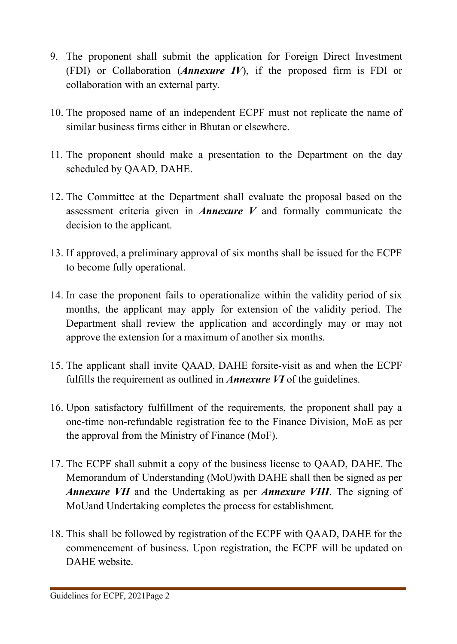- 9. The proponent shall submit the application for Foreign Direct Investment (FDI) or Collaboration (*Annexure IV*), if the proposed firm is FDI or collaboration with an external party.
- 10. The proposed name of an independent ECPF must not replicate the name of similar business firms either in Bhutan or elsewhere.
- 11. The proponent should make a presentation to the Department on the day scheduled by QAAD, DAHE.
- 12. The Committee at the Department shall evaluate the proposal based on the assessment criteria given in *Annexure V* and formally communicate the decision to the applicant.
- 13. If approved, a preliminary approval of six months shall be issued for the ECPF to become fully operational.
- 14. In case the proponent fails to operationalize within the validity period of six months, the applicant may apply for extension of the validity period. The Department shall review the application and accordingly may or may not approve the extension for a maximum of another six months.
- 15. The applicant shall invite QAAD, DAHE forsite-visit as and when the ECPF fulfills the requirement as outlined in *Annexure VI* of the guidelines.
- 16. Upon satisfactory fulfillment of the requirements, the proponent shall pay a one-time non-refundable registration fee to the Finance Division, MoE as per the approval from the Ministry of Finance (MoF).
- 17. The ECPF shall submit a copy of the business license to QAAD, DAHE. The Memorandum of Understanding (MoU)with DAHE shall then be signed as per *Annexure VII* and the Undertaking as per *Annexure VIII*. The signing of MoUand Undertaking completes the process for establishment.
- 18. This shall be followed by registration of the ECPF with QAAD, DAHE for the commencement of business. Upon registration, the ECPF will be updated on DAHE website.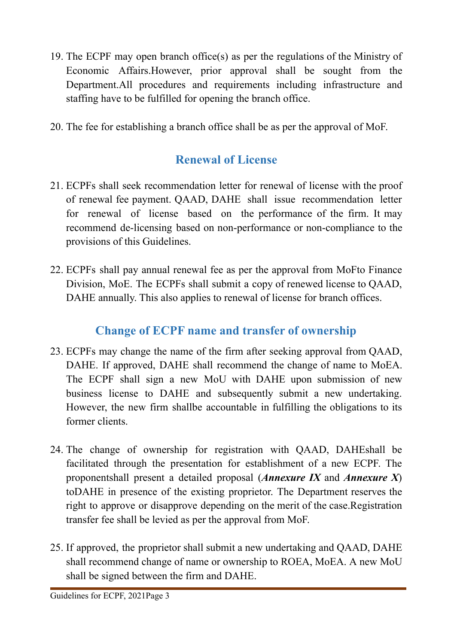- 19. The ECPF may open branch office(s) as per the regulations of the Ministry of Economic Affairs.However, prior approval shall be sought from the Department.All procedures and requirements including infrastructure and staffing have to be fulfilled for opening the branch office.
- <span id="page-9-0"></span>20. The fee for establishing a branch office shall be as per the approval of MoF.

# **Renewal of License**

- 21. ECPFs shall seek recommendation letter for renewal of license with the proof of renewal fee payment. QAAD, DAHE shall issue recommendation letter for renewal of license based on the performance of the firm. It may recommend de-licensing based on non-performance or non-compliance to the provisions of this Guidelines.
- 22. ECPFs shall pay annual renewal fee as per the approval from MoFto Finance Division, MoE. The ECPFs shall submit a copy of renewed license to QAAD, DAHE annually. This also applies to renewal of license for branch offices.

# **Change of ECPF name and transfer of ownership**

- <span id="page-9-1"></span>23. ECPFs may change the name of the firm after seeking approval from QAAD, DAHE. If approved, DAHE shall recommend the change of name to MoEA. The ECPF shall sign a new MoU with DAHE upon submission of new business license to DAHE and subsequently submit a new undertaking. However, the new firm shallbe accountable in fulfilling the obligations to its former clients.
- 24. The change of ownership for registration with QAAD, DAHEshall be facilitated through the presentation for establishment of a new ECPF. The proponentshall present a detailed proposal (*Annexure IX* and *Annexure X*) toDAHE in presence of the existing proprietor. The Department reserves the right to approve or disapprove depending on the merit of the case.Registration transfer fee shall be levied as per the approval from MoF.
- 25. If approved, the proprietor shall submit a new undertaking and QAAD, DAHE shall recommend change of name or ownership to ROEA, MoEA. A new MoU shall be signed between the firm and DAHE.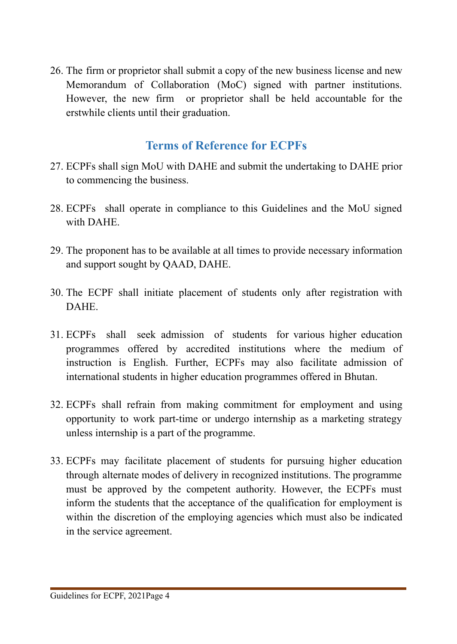26. The firm or proprietor shall submit a copy of the new business license and new Memorandum of Collaboration (MoC) signed with partner institutions. However, the new firm or proprietor shall be held accountable for the erstwhile clients until their graduation.

# **Terms of Reference for ECPFs**

- <span id="page-10-0"></span>27. ECPFs shall sign MoU with DAHE and submit the undertaking to DAHE prior to commencing the business.
- 28. ECPFs shall operate in compliance to this Guidelines and the MoU signed with DAHE.
- 29. The proponent has to be available at all times to provide necessary information and support sought by QAAD, DAHE.
- 30. The ECPF shall initiate placement of students only after registration with DAHE.
- 31. ECPFs shall seek admission of students for various higher education programmes offered by accredited institutions where the medium of instruction is English. Further, ECPFs may also facilitate admission of international students in higher education programmes offered in Bhutan.
- 32. ECPFs shall refrain from making commitment for employment and using opportunity to work part-time or undergo internship as a marketing strategy unless internship is a part of the programme.
- 33. ECPFs may facilitate placement of students for pursuing higher education through alternate modes of delivery in recognized institutions. The programme must be approved by the competent authority. However, the ECPFs must inform the students that the acceptance of the qualification for employment is within the discretion of the employing agencies which must also be indicated in the service agreement.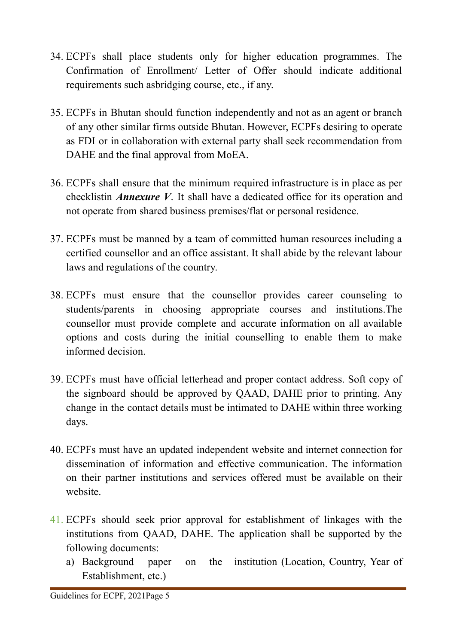- 34. ECPFs shall place students only for higher education programmes. The Confirmation of Enrollment/ Letter of Offer should indicate additional requirements such asbridging course, etc., if any.
- 35. ECPFs in Bhutan should function independently and not as an agent or branch of any other similar firms outside Bhutan. However, ECPFs desiring to operate as FDI or in collaboration with external party shall seek recommendation from DAHE and the final approval from MoEA.
- 36. ECPFs shall ensure that the minimum required infrastructure is in place as per checklistin *Annexure V*. It shall have a dedicated office for its operation and not operate from shared business premises/flat or personal residence.
- 37. ECPFs must be manned by a team of committed human resources including a certified counsellor and an office assistant. It shall abide by the relevant labour laws and regulations of the country.
- 38. ECPFs must ensure that the counsellor provides career counseling to students/parents in choosing appropriate courses and institutions.The counsellor must provide complete and accurate information on all available options and costs during the initial counselling to enable them to make informed decision.
- 39. ECPFs must have official letterhead and proper contact address. Soft copy of the signboard should be approved by QAAD, DAHE prior to printing. Any change in the contact details must be intimated to DAHE within three working days.
- 40. ECPFs must have an updated independent website and internet connection for dissemination of information and effective communication. The information on their partner institutions and services offered must be available on their website.
- 41. ECPFs should seek prior approval for establishment of linkages with the institutions from QAAD, DAHE. The application shall be supported by the following documents:
	- a) Background paper on the institution (Location, Country, Year of Establishment, etc.)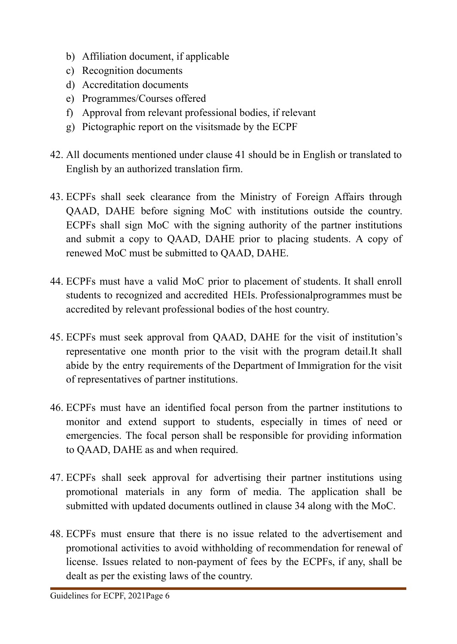- b) Affiliation document, if applicable
- c) Recognition documents
- d) Accreditation documents
- e) Programmes/Courses offered
- f) Approval from relevant professional bodies, if relevant
- g) Pictographic report on the visitsmade by the ECPF
- 42. All documents mentioned under clause 41 should be in English or translated to English by an authorized translation firm.
- 43. ECPFs shall seek clearance from the Ministry of Foreign Affairs through QAAD, DAHE before signing MoC with institutions outside the country. ECPFs shall sign MoC with the signing authority of the partner institutions and submit a copy to QAAD, DAHE prior to placing students. A copy of renewed MoC must be submitted to QAAD, DAHE.
- 44. ECPFs must have a valid MoC prior to placement of students. It shall enroll students to recognized and accredited HEIs. Professionalprogrammes must be accredited by relevant professional bodies of the host country.
- 45. ECPFs must seek approval from QAAD, DAHE for the visit of institution's representative one month prior to the visit with the program detail.It shall abide by the entry requirements of the Department of Immigration for the visit of representatives of partner institutions.
- 46. ECPFs must have an identified focal person from the partner institutions to monitor and extend support to students, especially in times of need or emergencies. The focal person shall be responsible for providing information to QAAD, DAHE as and when required.
- 47. ECPFs shall seek approval for advertising their partner institutions using promotional materials in any form of media. The application shall be submitted with updated documents outlined in clause 34 along with the MoC.
- 48. ECPFs must ensure that there is no issue related to the advertisement and promotional activities to avoid withholding of recommendation for renewal of license. Issues related to non-payment of fees by the ECPFs, if any, shall be dealt as per the existing laws of the country.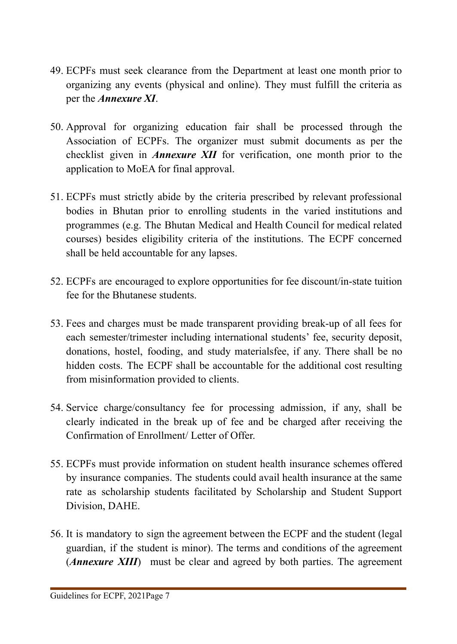- 49. ECPFs must seek clearance from the Department at least one month prior to organizing any events (physical and online). They must fulfill the criteria as per the *Annexure XI*.
- 50. Approval for organizing education fair shall be processed through the Association of ECPFs. The organizer must submit documents as per the checklist given in *Annexure XII* for verification, one month prior to the application to MoEA for final approval.
- 51. ECPFs must strictly abide by the criteria prescribed by relevant professional bodies in Bhutan prior to enrolling students in the varied institutions and programmes (e.g. The Bhutan Medical and Health Council for medical related courses) besides eligibility criteria of the institutions. The ECPF concerned shall be held accountable for any lapses.
- 52. ECPFs are encouraged to explore opportunities for fee discount/in-state tuition fee for the Bhutanese students.
- 53. Fees and charges must be made transparent providing break-up of all fees for each semester/trimester including international students' fee, security deposit, donations, hostel, fooding, and study materialsfee, if any. There shall be no hidden costs. The ECPF shall be accountable for the additional cost resulting from misinformation provided to clients.
- 54. Service charge/consultancy fee for processing admission, if any, shall be clearly indicated in the break up of fee and be charged after receiving the Confirmation of Enrollment/ Letter of Offer.
- 55. ECPFs must provide information on student health insurance schemes offered by insurance companies. The students could avail health insurance at the same rate as scholarship students facilitated by Scholarship and Student Support Division, DAHE.
- 56. It is mandatory to sign the agreement between the ECPF and the student (legal guardian, if the student is minor). The terms and conditions of the agreement (*Annexure XIII*) must be clear and agreed by both parties. The agreement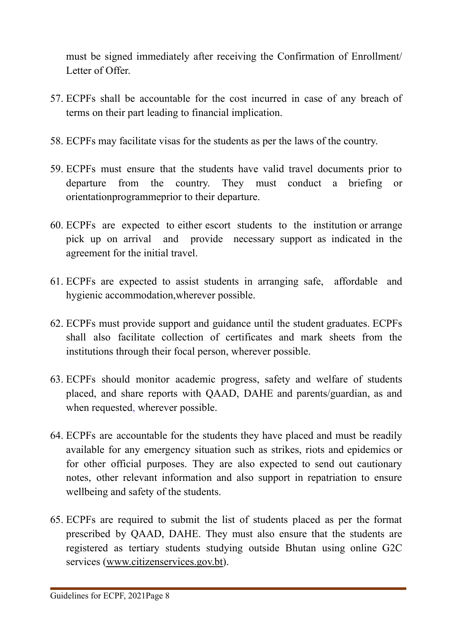must be signed immediately after receiving the Confirmation of Enrollment/ Letter of Offer.

- 57. ECPFs shall be accountable for the cost incurred in case of any breach of terms on their part leading to financial implication.
- 58. ECPFs may facilitate visas for the students as per the laws of the country.
- 59. ECPFs must ensure that the students have valid travel documents prior to departure from the country. They must conduct a briefing or orientationprogrammeprior to their departure.
- 60. ECPFs are expected to either escort students to the institution or arrange pick up on arrival and provide necessary support as indicated in the agreement for the initial travel.
- 61. ECPFs are expected to assist students in arranging safe, affordable and hygienic accommodation,wherever possible.
- 62. ECPFs must provide support and guidance until the student graduates. ECPFs shall also facilitate collection of certificates and mark sheets from the institutions through their focal person, wherever possible.
- 63. ECPFs should monitor academic progress, safety and welfare of students placed, and share reports with QAAD, DAHE and parents/guardian, as and when requested, wherever possible.
- 64. ECPFs are accountable for the students they have placed and must be readily available for any emergency situation such as strikes, riots and epidemics or for other official purposes. They are also expected to send out cautionary notes, other relevant information and also support in repatriation to ensure wellbeing and safety of the students.
- 65. ECPFs are required to submit the list of students placed as per the format prescribed by QAAD, DAHE. They must also ensure that the students are registered as tertiary students studying outside Bhutan using online G2C services [\(www.citizenservices.gov.bt\)](http://www.citizenservices.gov.bt).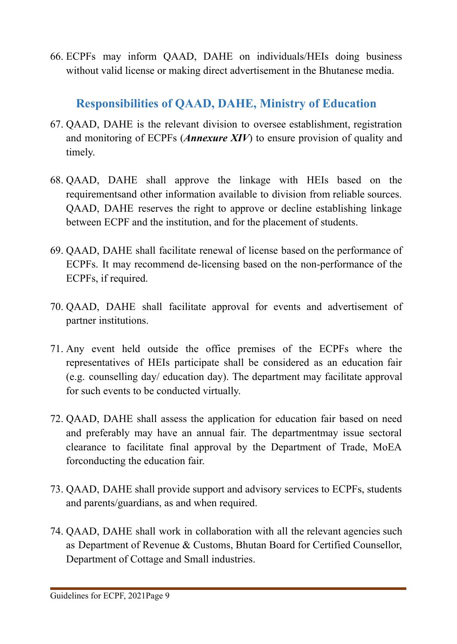<span id="page-15-0"></span>66. ECPFs may inform QAAD, DAHE on individuals/HEIs doing business without valid license or making direct advertisement in the Bhutanese media.

# **Responsibilities of QAAD, DAHE, Ministry of Education**

- 67. QAAD, DAHE is the relevant division to oversee establishment, registration and monitoring of ECPFs (*Annexure XIV*) to ensure provision of quality and timely.
- 68. QAAD, DAHE shall approve the linkage with HEIs based on the requirementsand other information available to division from reliable sources. QAAD, DAHE reserves the right to approve or decline establishing linkage between ECPF and the institution, and for the placement of students.
- 69. QAAD, DAHE shall facilitate renewal of license based on the performance of ECPFs. It may recommend de-licensing based on the non-performance of the ECPFs, if required.
- 70. QAAD, DAHE shall facilitate approval for events and advertisement of partner institutions.
- 71. Any event held outside the office premises of the ECPFs where the representatives of HEIs participate shall be considered as an education fair (e.g. counselling day/ education day). The department may facilitate approval for such events to be conducted virtually.
- 72. QAAD, DAHE shall assess the application for education fair based on need and preferably may have an annual fair. The departmentmay issue sectoral clearance to facilitate final approval by the Department of Trade, MoEA forconducting the education fair.
- 73. QAAD, DAHE shall provide support and advisory services to ECPFs, students and parents/guardians, as and when required.
- 74. QAAD, DAHE shall work in collaboration with all the relevant agencies such as Department of Revenue & Customs, Bhutan Board for Certified Counsellor, Department of Cottage and Small industries.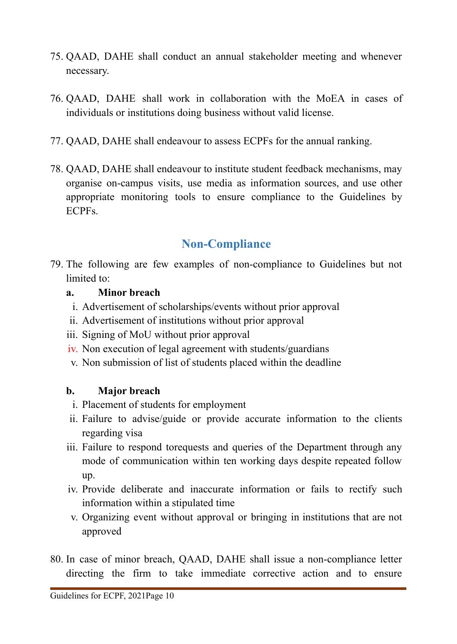- 75. QAAD, DAHE shall conduct an annual stakeholder meeting and whenever necessary.
- 76. QAAD, DAHE shall work in collaboration with the MoEA in cases of individuals or institutions doing business without valid license.
- 77. QAAD, DAHE shall endeavour to assess ECPFs for the annual ranking.
- 78. QAAD, DAHE shall endeavour to institute student feedback mechanisms, may organise on-campus visits, use media as information sources, and use other appropriate monitoring tools to ensure compliance to the Guidelines by **ECPFs**

# **Non-Compliance**

<span id="page-16-0"></span>79. The following are few examples of non-compliance to Guidelines but not limited to:

### **a. Minor breach**

- i. Advertisement of scholarships/events without prior approval
- ii. Advertisement of institutions without prior approval
- iii. Signing of MoU without prior approval
- iv. Non execution of legal agreement with students/guardians
- v. Non submission of list of students placed within the deadline

# **b. Major breach**

- i. Placement of students for employment
- ii. Failure to advise/guide or provide accurate information to the clients regarding visa
- iii. Failure to respond torequests and queries of the Department through any mode of communication within ten working days despite repeated follow up.
- iv. Provide deliberate and inaccurate information or fails to rectify such information within a stipulated time
- v. Organizing event without approval or bringing in institutions that are not approved
- 80. In case of minor breach, QAAD, DAHE shall issue a non-compliance letter directing the firm to take immediate corrective action and to ensure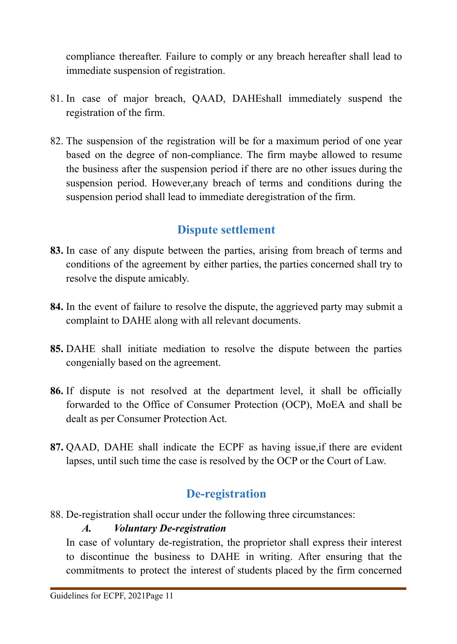compliance thereafter. Failure to comply or any breach hereafter shall lead to immediate suspension of registration.

- 81. In case of major breach, QAAD, DAHEshall immediately suspend the registration of the firm.
- 82. The suspension of the registration will be for a maximum period of one year based on the degree of non-compliance. The firm maybe allowed to resume the business after the suspension period if there are no other issues during the suspension period. However,any breach of terms and conditions during the suspension period shall lead to immediate deregistration of the firm.

# **Dispute settlement**

- <span id="page-17-0"></span>**83.** In case of any dispute between the parties, arising from breach of terms and conditions of the agreement by either parties, the parties concerned shall try to resolve the dispute amicably.
- **84.** In the event of failure to resolve the dispute, the aggrieved party may submit a complaint to DAHE along with all relevant documents.
- **85.** DAHE shall initiate mediation to resolve the dispute between the parties congenially based on the agreement.
- **86.** If dispute is not resolved at the department level, it shall be officially forwarded to the Office of Consumer Protection (OCP), MoEA and shall be dealt as per Consumer Protection Act.
- <span id="page-17-1"></span>**87.** QAAD, DAHE shall indicate the ECPF as having issue,if there are evident lapses, until such time the case is resolved by the OCP or the Court of Law.

# **De-registration**

88. De-registration shall occur under the following three circumstances:

# *A. Voluntary De-registration*

In case of voluntary de-registration, the proprietor shall express their interest to discontinue the business to DAHE in writing. After ensuring that the commitments to protect the interest of students placed by the firm concerned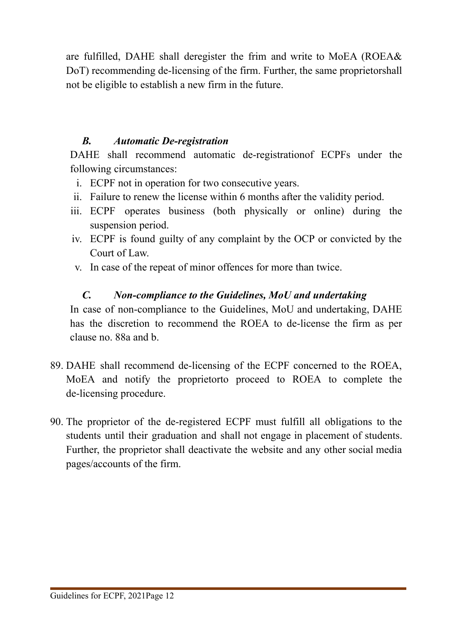are fulfilled, DAHE shall deregister the frim and write to MoEA (ROEA& DoT) recommending de-licensing of the firm. Further, the same proprietorshall not be eligible to establish a new firm in the future.

### *B. Automatic De-registration*

DAHE shall recommend automatic de-registrationof ECPFs under the following circumstances:

- i. ECPF not in operation for two consecutive years.
- ii. Failure to renew the license within 6 months after the validity period.
- iii. ECPF operates business (both physically or online) during the suspension period.
- iv. ECPF is found guilty of any complaint by the OCP or convicted by the Court of Law.
- v. In case of the repeat of minor offences for more than twice.

# *C. Non-compliance to the Guidelines, MoU and undertaking*

In case of non-compliance to the Guidelines, MoU and undertaking, DAHE has the discretion to recommend the ROEA to de-license the firm as per clause no. 88a and b.

- 89. DAHE shall recommend de-licensing of the ECPF concerned to the ROEA, MoEA and notify the proprietorto proceed to ROEA to complete the de-licensing procedure.
- 90. The proprietor of the de-registered ECPF must fulfill all obligations to the students until their graduation and shall not engage in placement of students. Further, the proprietor shall deactivate the website and any other social media pages/accounts of the firm.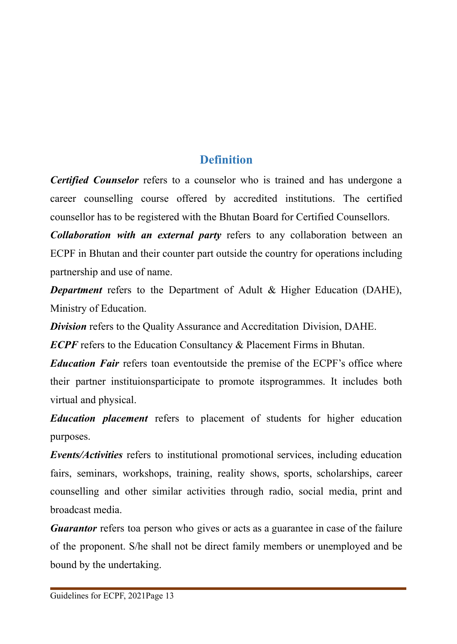# **Definition**

<span id="page-19-0"></span>*Certified Counselor* refers to a counselor who is trained and has undergone a career counselling course offered by accredited institutions. The certified counsellor has to be registered with the Bhutan Board for Certified Counsellors.

*Collaboration with an external party* refers to any collaboration between an ECPF in Bhutan and their counter part outside the country for operations including partnership and use of name.

*Department* refers to the Department of Adult & Higher Education (DAHE), Ministry of Education.

*Division* refers to the Quality Assurance and Accreditation Division, DAHE.

*ECPF* refers to the Education Consultancy & Placement Firms in Bhutan.

*Education Fair* refers toan eventoutside the premise of the ECPF's office where their partner instituionsparticipate to promote itsprogrammes. It includes both virtual and physical.

*Education placement* refers to placement of students for higher education purposes.

*Events/Activities* refers to institutional promotional services, including education fairs, seminars, workshops, training, reality shows, sports, scholarships, career counselling and other similar activities through radio, social media, print and broadcast media.

*Guarantor* refers toa person who gives or acts as a guarantee in case of the failure of the proponent. S/he shall not be direct family members or unemployed and be bound by the undertaking.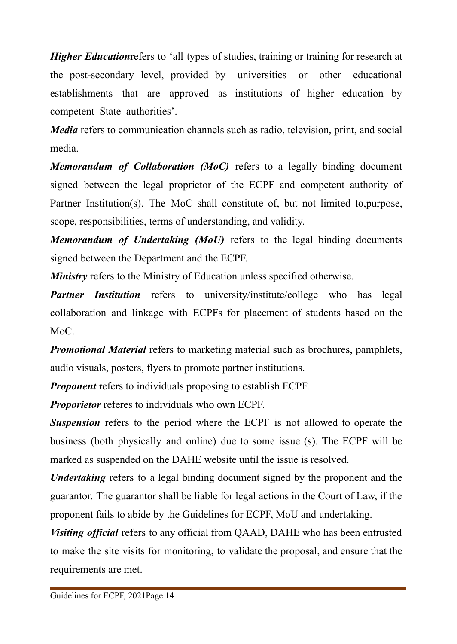*Higher Education* refers to 'all types of studies, training or training for research at the post-secondary level, provided by universities or other educational establishments that are approved as institutions of higher education by competent State authorities'.

*Media* refers to communication channels such as radio, television, print, and social media.

*Memorandum of Collaboration (MoC)* refers to a legally binding document signed between the legal proprietor of the ECPF and competent authority of Partner Institution(s). The MoC shall constitute of, but not limited to,purpose, scope, responsibilities, terms of understanding, and validity.

*Memorandum of Undertaking (MoU)* refers to the legal binding documents signed between the Department and the ECPF.

*Ministry* refers to the Ministry of Education unless specified otherwise.

*Partner Institution* refers to university/institute/college who has legal collaboration and linkage with ECPFs for placement of students based on the MoC<sup>.</sup>

*Promotional Material* refers to marketing material such as brochures, pamphlets, audio visuals, posters, flyers to promote partner institutions.

*Proponent* refers to individuals proposing to establish ECPF.

*Proporietor* referes to individuals who own ECPF.

**Suspension** refers to the period where the ECPF is not allowed to operate the business (both physically and online) due to some issue (s). The ECPF will be marked as suspended on the DAHE website until the issue is resolved.

*Undertaking* refers to a legal binding document signed by the proponent and the guarantor. The guarantor shall be liable for legal actions in the Court of Law, if the proponent fails to abide by the Guidelines for ECPF, MoU and undertaking.

*Visiting official* refers to any official from QAAD, DAHE who has been entrusted to make the site visits for monitoring, to validate the proposal, and ensure that the requirements are met.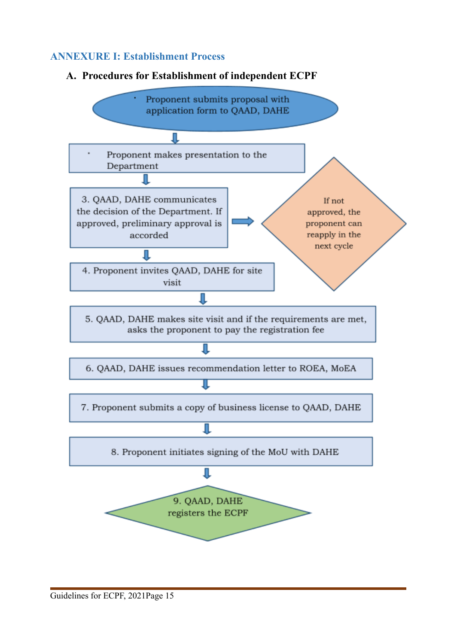#### <span id="page-21-0"></span>**ANNEXURE I: Establishment Process**



#### **A. Procedures for Establishment of independent ECPF**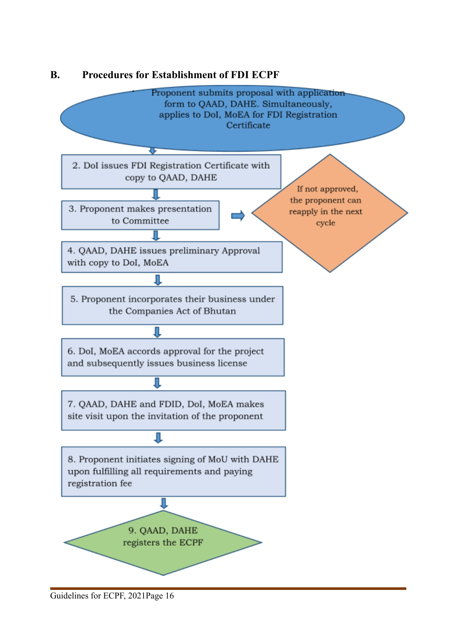

#### **B. Procedures for Establishment of FDI ECPF**

Guidelines for ECPF, 2021Page 16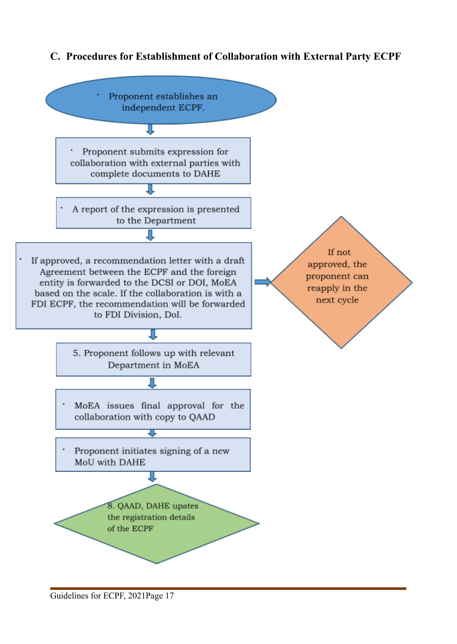#### **C. Procedures for Establishment of Collaboration with External Party ECPF**

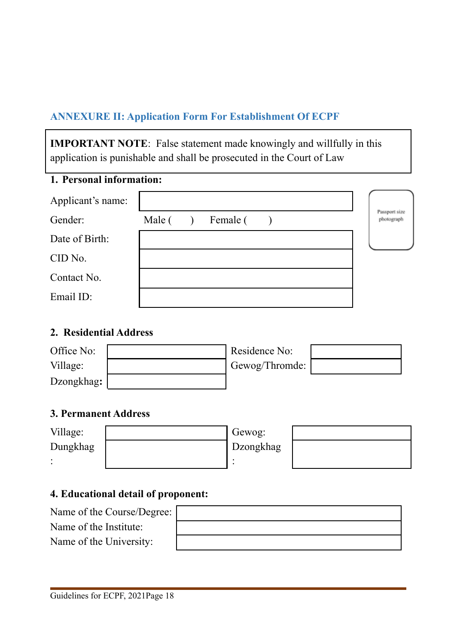# <span id="page-24-0"></span>**ANNEXURE II: Application Form For Establishment Of ECPF**

**IMPORTANT NOTE**: False statement made knowingly and willfully in this application is punishable and shall be prosecuted in the Court of Law

# **1. Personal information:**

| Applicant's name: |        |          |  |                             |
|-------------------|--------|----------|--|-----------------------------|
| Gender:           | Male ( | Female ( |  | Passport size<br>photograph |
| Date of Birth:    |        |          |  |                             |
| CID No.           |        |          |  |                             |
| Contact No.       |        |          |  |                             |
| Email ID:         |        |          |  |                             |

#### **2. Residential Address**

| Office No: | Residence No:  |  |
|------------|----------------|--|
| Village:   | Gewog/Thromde: |  |
| Dzongkhag: |                |  |

#### **3. Permanent Address**

| Village: | Gewog:    |  |
|----------|-----------|--|
| Dungkhag | Dzongkhag |  |
|          |           |  |

#### **4. Educational detail of proponent:**

| Name of the Course/Degree: |  |
|----------------------------|--|
| Name of the Institute:     |  |
| Name of the University:    |  |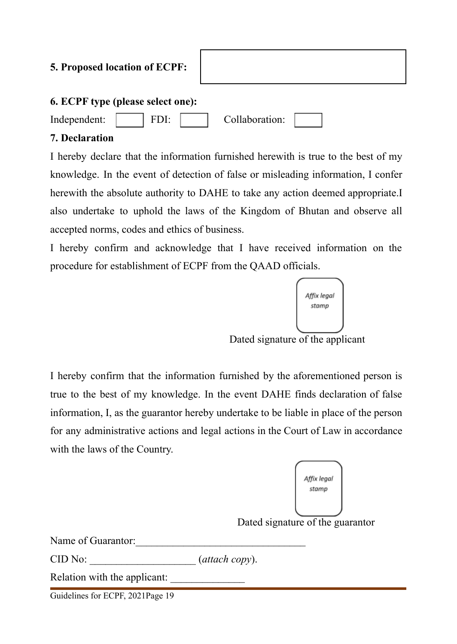### **5. Proposed location of ECPF:**

#### **6. ECPF type (please select one):**

Independent: FDI: Collaboration:

#### **7. Declaration**

I hereby declare that the information furnished herewith is true to the best of my knowledge. In the event of detection of false or misleading information, I confer herewith the absolute authority to DAHE to take any action deemed appropriate.I also undertake to uphold the laws of the Kingdom of Bhutan and observe all accepted norms, codes and ethics of business.

I hereby confirm and acknowledge that I have received information on the procedure for establishment of ECPF from the QAAD officials.



Dated signature of the applicant

I hereby confirm that the information furnished by the aforementioned person is true to the best of my knowledge. In the event DAHE finds declaration of false information, I, as the guarantor hereby undertake to be liable in place of the person for any administrative actions and legal actions in the Court of Law in accordance with the laws of the Country.



Name of Guarantor:

CID No:  $(attach copy)$ .

Relation with the applicant:

Guidelines for ECPF, 2021Page 19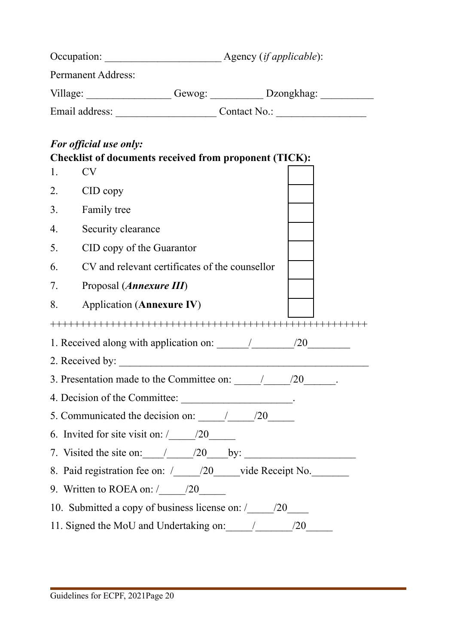|                                                                                   | <b>Permanent Address:</b>                                                               |  |  |  |  |
|-----------------------------------------------------------------------------------|-----------------------------------------------------------------------------------------|--|--|--|--|
|                                                                                   |                                                                                         |  |  |  |  |
|                                                                                   |                                                                                         |  |  |  |  |
|                                                                                   |                                                                                         |  |  |  |  |
|                                                                                   | For official use only:<br><b>Checklist of documents received from proponent (TICK):</b> |  |  |  |  |
| 1.                                                                                | <b>CV</b>                                                                               |  |  |  |  |
| 2.                                                                                | CID copy                                                                                |  |  |  |  |
| 3.                                                                                | <b>Family tree</b>                                                                      |  |  |  |  |
| $\overline{4}$ .                                                                  | Security clearance                                                                      |  |  |  |  |
| 5.                                                                                | CID copy of the Guarantor                                                               |  |  |  |  |
| 6.                                                                                | CV and relevant certificates of the counsellor                                          |  |  |  |  |
| 7.                                                                                | Proposal (Annexure III)                                                                 |  |  |  |  |
| 8.                                                                                | <b>Application (Annexure IV)</b>                                                        |  |  |  |  |
|                                                                                   |                                                                                         |  |  |  |  |
|                                                                                   | 1. Received along with application on: $\frac{1}{20}$ /20 $\frac{20}{20}$               |  |  |  |  |
|                                                                                   | 2. Received by:                                                                         |  |  |  |  |
|                                                                                   | 3. Presentation made to the Committee on: $\frac{1}{20}$ /20                            |  |  |  |  |
|                                                                                   | 4. Decision of the Committee: _____________________.                                    |  |  |  |  |
|                                                                                   | 5. Communicated the decision on: $\frac{1}{20}$ /20                                     |  |  |  |  |
|                                                                                   | 6. Invited for site visit on: $\frac{20}{\sqrt{2}}$                                     |  |  |  |  |
| 7. Visited the site on: $\angle$ /20 by:                                          |                                                                                         |  |  |  |  |
| 8. Paid registration fee on: /____/20____vide Receipt No.________________________ |                                                                                         |  |  |  |  |
|                                                                                   | 9. Written to ROEA on: $\sqrt{\frac{20}{\pi}}$                                          |  |  |  |  |
| 10. Submitted a copy of business license on: /___________________________________ |                                                                                         |  |  |  |  |
|                                                                                   |                                                                                         |  |  |  |  |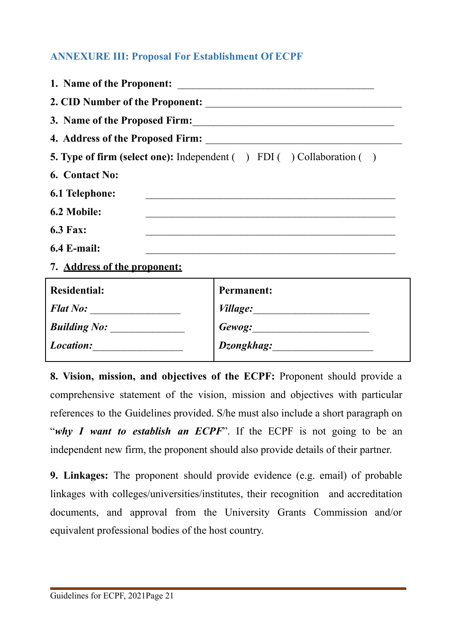### <span id="page-27-0"></span>**ANNEXURE III: Proposal For Establishment Of ECPF**

|                               | 3. Name of the Proposed Firm:                                                     |  |  |
|-------------------------------|-----------------------------------------------------------------------------------|--|--|
|                               |                                                                                   |  |  |
|                               | <b>5. Type of firm (select one):</b> Independent ( ) FDI ( ) Collaboration ( )    |  |  |
| 6. Contact No:                |                                                                                   |  |  |
| 6.1 Telephone:                |                                                                                   |  |  |
| 6.2 Mobile:                   |                                                                                   |  |  |
| <b>6.3 Fax:</b>               | <u> 1980 - Johann Harry Barn, mars ar breist fan de Amerikaansk kommunister (</u> |  |  |
| $6.4$ E-mail:                 |                                                                                   |  |  |
| 7. Address of the proponent:  |                                                                                   |  |  |
| <b>Residential:</b>           | <b>Permanent:</b>                                                                 |  |  |
|                               |                                                                                   |  |  |
| Building No: ________________ |                                                                                   |  |  |
| Location:                     |                                                                                   |  |  |

**8. Vision, mission, and objectives of the ECPF:** Proponent should provide a comprehensive statement of the vision, mission and objectives with particular references to the Guidelines provided. S/he must also include a short paragraph on "*why I want to establish an ECPF*". If the ECPF is not going to be an independent new firm, the proponent should also provide details of their partner.

**9. Linkages:** The proponent should provide evidence (e.g. email) of probable linkages with colleges/universities/institutes, their recognition and accreditation documents, and approval from the University Grants Commission and/or equivalent professional bodies of the host country.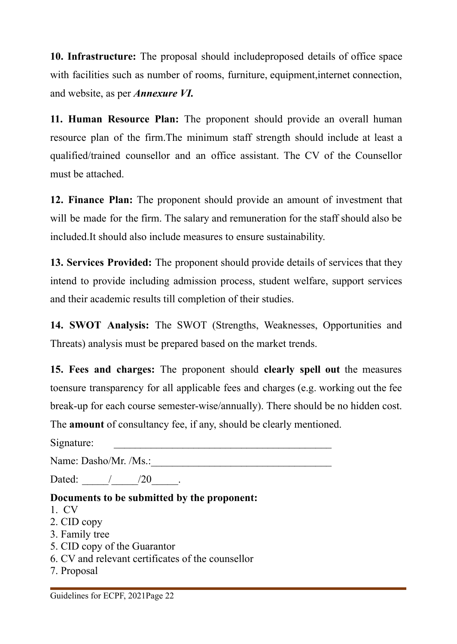**10. Infrastructure:** The proposal should includeproposed details of office space with facilities such as number of rooms, furniture, equipment,internet connection, and website, as per *Annexure VI.*

**11. Human Resource Plan:** The proponent should provide an overall human resource plan of the firm.The minimum staff strength should include at least a qualified/trained counsellor and an office assistant. The CV of the Counsellor must be attached.

**12. Finance Plan:** The proponent should provide an amount of investment that will be made for the firm. The salary and remuneration for the staff should also be included.It should also include measures to ensure sustainability.

**13. Services Provided:** The proponent should provide details of services that they intend to provide including admission process, student welfare, support services and their academic results till completion of their studies.

**14. SWOT Analysis:** The SWOT (Strengths, Weaknesses, Opportunities and Threats) analysis must be prepared based on the market trends.

**15. Fees and charges:** The proponent should **clearly spell out** the measures toensure transparency for all applicable fees and charges (e.g. working out the fee break-up for each course semester-wise/annually). There should be no hidden cost.

The **amount** of consultancy fee, if any, should be clearly mentioned.

Signature: \_\_\_\_\_\_\_\_\_\_\_\_\_\_\_\_\_\_\_\_\_\_\_\_\_\_\_\_\_\_\_\_\_\_\_\_\_\_\_\_\_

Name: Dasho/Mr. /Ms.:

Dated: / / /20 .

# **Documents to be submitted by the proponent:**

- 1. CV
- 2. CID copy
- 3. Family tree
- 5. CID copy of the Guarantor
- 6. CV and relevant certificates of the counsellor
- 7. Proposal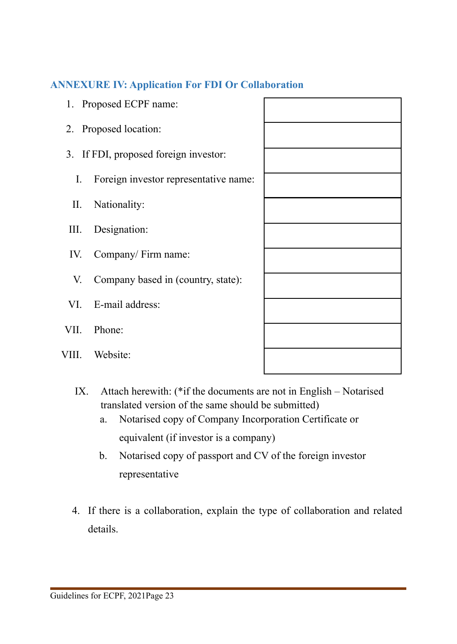### <span id="page-29-0"></span>**ANNEXURE IV: Application For FDI Or Collaboration**

- 1. Proposed ECPF name:
- 2. Proposed location:
- 3. If FDI, proposed foreign investor:
	- I. Foreign investor representative name:
	- II. Nationality:
- III. Designation:
- IV. Company/ Firm name:
- V. Company based in (country, state):
- VI. E-mail address:
- VII. Phone:
- VIII. Website:

- IX. Attach herewith: (\*if the documents are not in English Notarised translated version of the same should be submitted)
	- a. Notarised copy of Company Incorporation Certificate or equivalent (if investor is a company)
	- b. Notarised copy of passport and CV of the foreign investor representative
- 4. If there is a collaboration, explain the type of collaboration and related details.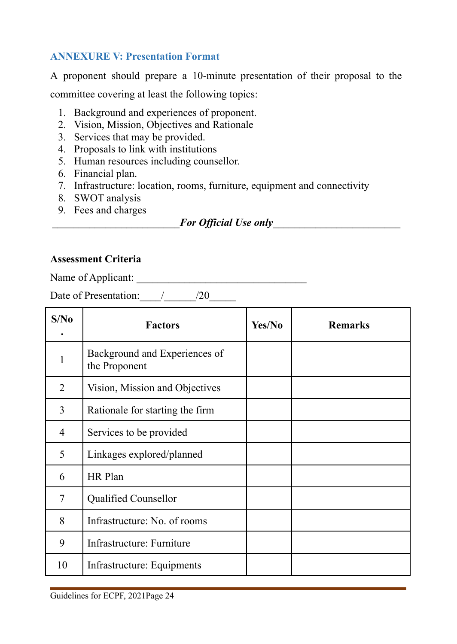#### <span id="page-30-0"></span>**ANNEXURE V: Presentation Format**

A proponent should prepare a 10-minute presentation of their proposal to the committee covering at least the following topics:

- 1. Background and experiences of proponent.
- 2. Vision, Mission, Objectives and Rationale
- 3. Services that may be provided.
- 4. Proposals to link with institutions
- 5. Human resources including counsellor.
- 6. Financial plan.
- 7. Infrastructure: location, rooms, furniture, equipment and connectivity
- 8. SWOT analysis
- 9. Fees and charges

\_\_\_\_\_\_\_\_\_\_\_\_\_\_\_\_\_\_\_\_\_\_\_\_*For Official Use only*\_\_\_\_\_\_\_\_\_\_\_\_\_\_\_\_\_\_\_\_\_\_\_\_

#### **Assessment Criteria**

Name of Applicant: \_\_\_\_\_\_\_\_\_\_\_\_\_\_\_\_\_\_\_\_\_\_\_\_\_\_\_\_\_\_\_\_

Date of Presentation: \_\_\_\_/\_\_\_\_\_\_\_/20\_\_\_\_\_\_

| S/No           | <b>Factors</b>                                 | Yes/No | <b>Remarks</b> |
|----------------|------------------------------------------------|--------|----------------|
| 1              | Background and Experiences of<br>the Proponent |        |                |
| $\overline{2}$ | Vision, Mission and Objectives                 |        |                |
| $\overline{3}$ | Rationale for starting the firm                |        |                |
| $\overline{4}$ | Services to be provided                        |        |                |
| 5              | Linkages explored/planned                      |        |                |
| 6              | HR Plan                                        |        |                |
| $\overline{7}$ | <b>Qualified Counsellor</b>                    |        |                |
| 8              | Infrastructure: No. of rooms                   |        |                |
| 9              | Infrastructure: Furniture                      |        |                |
| 10             | Infrastructure: Equipments                     |        |                |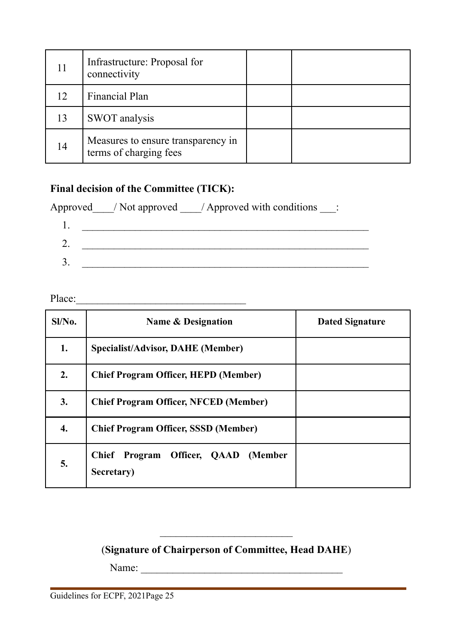| 11 | Infrastructure: Proposal for<br>connectivity                 |  |
|----|--------------------------------------------------------------|--|
| 12 | Financial Plan                                               |  |
| 13 | SWOT analysis                                                |  |
| 14 | Measures to ensure transparency in<br>terms of charging fees |  |

#### **Final decision of the Committee (TICK):**

Approved / Not approved / Approved with conditions \_\_\_:

Place:\_\_\_\_\_\_\_\_\_\_\_\_\_\_\_\_\_\_\_\_\_\_\_\_\_\_\_\_\_\_\_\_

| Sl/No. | Name & Designation                                | <b>Dated Signature</b> |
|--------|---------------------------------------------------|------------------------|
| 1.     | <b>Specialist/Advisor, DAHE (Member)</b>          |                        |
| 2.     | <b>Chief Program Officer, HEPD (Member)</b>       |                        |
| 3.     | <b>Chief Program Officer, NFCED (Member)</b>      |                        |
| 4.     | <b>Chief Program Officer, SSSD (Member)</b>       |                        |
| 5.     | Chief Program Officer, QAAD (Member<br>Secretary) |                        |

## (**Signature of Chairperson of Committee, Head DAHE**)

 $\mathcal{L}_\text{max}$ 

Name: \_\_\_\_\_\_\_\_\_\_\_\_\_\_\_\_\_\_\_\_\_\_\_\_\_\_\_\_\_\_\_\_\_\_\_\_\_\_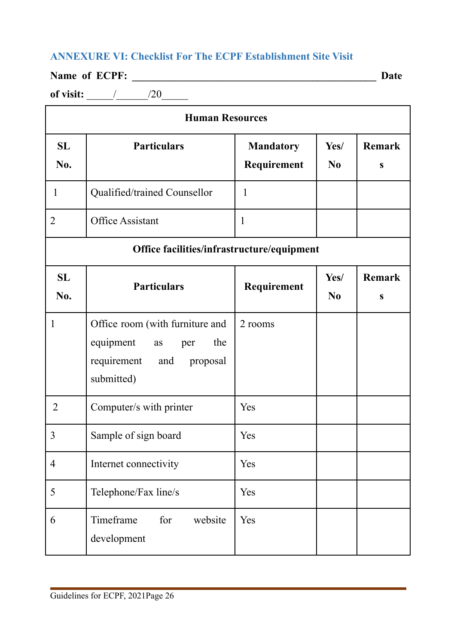# <span id="page-32-0"></span>**ANNEXURE VI: Checklist For The ECPF Establishment Site Visit**

# **Name of ECPF: \_\_\_\_\_\_\_\_\_\_\_\_\_\_\_\_\_\_\_\_\_\_\_\_\_\_\_\_\_\_\_\_\_\_\_\_\_\_\_\_\_\_\_\_\_\_ Date**

**of visit:**  $\frac{1}{20}$ 

|                  | <b>Human Resources</b>                                                                                           |                                 |                        |                    |  |  |
|------------------|------------------------------------------------------------------------------------------------------------------|---------------------------------|------------------------|--------------------|--|--|
| <b>SL</b><br>No. | <b>Particulars</b>                                                                                               | <b>Mandatory</b><br>Requirement | Yes/<br>N <sub>0</sub> | <b>Remark</b><br>S |  |  |
| $\mathbf{1}$     | Qualified/trained Counsellor                                                                                     | $\mathbf{1}$                    |                        |                    |  |  |
| $\overline{2}$   | Office Assistant                                                                                                 | $\mathbf{1}$                    |                        |                    |  |  |
|                  | Office facilities/infrastructure/equipment                                                                       |                                 |                        |                    |  |  |
| <b>SL</b><br>No. | <b>Particulars</b>                                                                                               | Requirement                     | Yes/<br>N <sub>0</sub> | <b>Remark</b><br>S |  |  |
| $\mathbf{1}$     | Office room (with furniture and<br>equipment<br>the<br>as<br>per<br>requirement<br>proposal<br>and<br>submitted) | 2 rooms                         |                        |                    |  |  |
| $\overline{2}$   | Computer/s with printer                                                                                          | Yes                             |                        |                    |  |  |
| 3                | Sample of sign board                                                                                             | Yes                             |                        |                    |  |  |
| $\overline{4}$   | Internet connectivity                                                                                            | Yes                             |                        |                    |  |  |
| 5                | Telephone/Fax line/s                                                                                             | Yes                             |                        |                    |  |  |
| 6                | Timeframe<br>for<br>website<br>development                                                                       | Yes                             |                        |                    |  |  |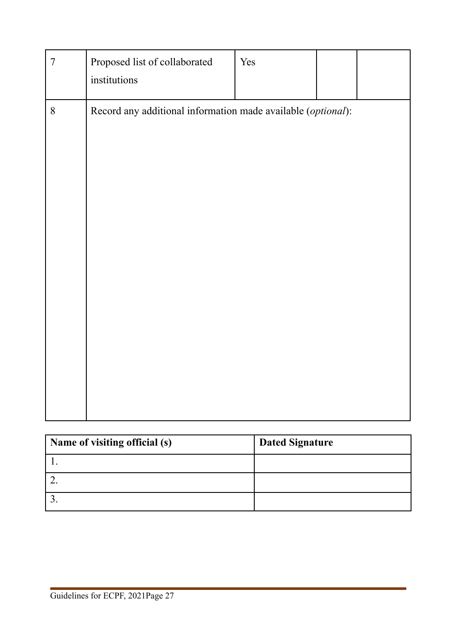| Record any additional information made available (optional):<br>$8\,$ | $\boldsymbol{7}$ | Proposed list of collaborated<br>institutions | Yes |  |
|-----------------------------------------------------------------------|------------------|-----------------------------------------------|-----|--|
|                                                                       |                  |                                               |     |  |

| Name of visiting official (s) | <b>Dated Signature</b> |
|-------------------------------|------------------------|
|                               |                        |
|                               |                        |
|                               |                        |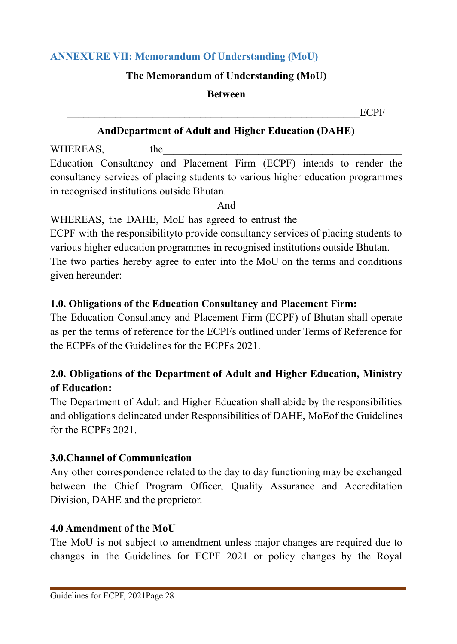# <span id="page-34-0"></span>**ANNEXURE VII: Memorandum Of Understanding (MoU)**

## **The Memorandum of Understanding (MoU)**

#### **Between**

**\_\_\_\_\_\_\_\_\_\_\_\_\_\_\_\_\_\_\_\_\_\_\_\_\_\_\_\_\_\_\_\_\_\_\_\_\_\_\_\_\_\_\_\_\_\_\_\_\_\_\_\_\_\_\_**ECPF

# **AndDepartment of Adult and Higher Education (DAHE)**

WHEREAS, the Education Consultancy and Placement Firm (ECPF) intends to render the consultancy services of placing students to various higher education programmes in recognised institutions outside Bhutan.

And

WHEREAS, the DAHE, MoE has agreed to entrust the

ECPF with the responsibilityto provide consultancy services of placing students to various higher education programmes in recognised institutions outside Bhutan. The two parties hereby agree to enter into the MoU on the terms and conditions given hereunder:

# **1.0. Obligations of the Education Consultancy and Placement Firm:**

The Education Consultancy and Placement Firm (ECPF) of Bhutan shall operate as per the terms of reference for the ECPFs outlined under Terms of Reference for the ECPFs of the Guidelines for the ECPFs 2021.

# **2.0. Obligations of the Department of Adult and Higher Education, Ministry of Education:**

The Department of Adult and Higher Education shall abide by the responsibilities and obligations delineated under Responsibilities of DAHE, MoEof the Guidelines for the ECPFs 2021.

# **3.0.Channel of Communication**

Any other correspondence related to the day to day functioning may be exchanged between the Chief Program Officer, Quality Assurance and Accreditation Division, DAHE and the proprietor.

# **4.0 Amendment of the MoU**

The MoU is not subject to amendment unless major changes are required due to changes in the Guidelines for ECPF 2021 or policy changes by the Royal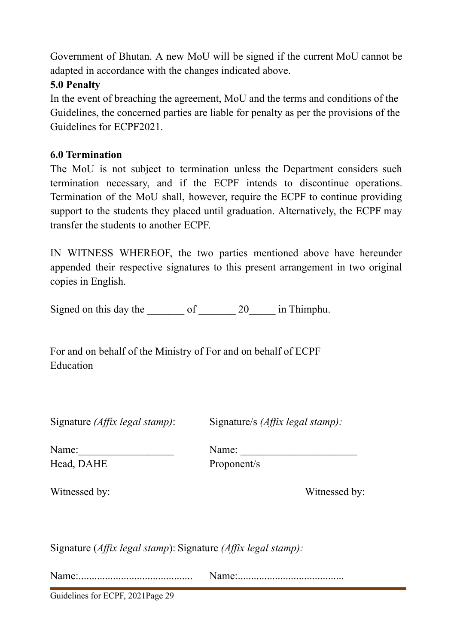Government of Bhutan. A new MoU will be signed if the current MoU cannot be adapted in accordance with the changes indicated above.

### **5.0 Penalty**

In the event of breaching the agreement, MoU and the terms and conditions of the Guidelines, the concerned parties are liable for penalty as per the provisions of the Guidelines for ECPF2021.

### **6.0 Termination**

The MoU is not subject to termination unless the Department considers such termination necessary, and if the ECPF intends to discontinue operations. Termination of the MoU shall, however, require the ECPF to continue providing support to the students they placed until graduation. Alternatively, the ECPF may transfer the students to another ECPF.

IN WITNESS WHEREOF, the two parties mentioned above have hereunder appended their respective signatures to this present arrangement in two original copies in English.

Signed on this day the of 20 in Thimphu.

For and on behalf of the Ministry of For and on behalf of ECPF Education

Signature *(Affix legal stamp)*: Signature/s *(Affix legal stamp):*

Name:\_\_\_\_\_\_\_\_\_\_\_\_\_\_\_\_\_\_ Name: \_\_\_\_\_\_\_\_\_\_\_\_\_\_\_\_\_\_\_\_\_\_ Head, DAHE Proponent/s

Witnessed by: Witnessed by:

Signature (*Affix legal stamp*): Signature *(Affix legal stamp):*

Name:........................................... Name:........................................

Guidelines for ECPF, 2021Page 29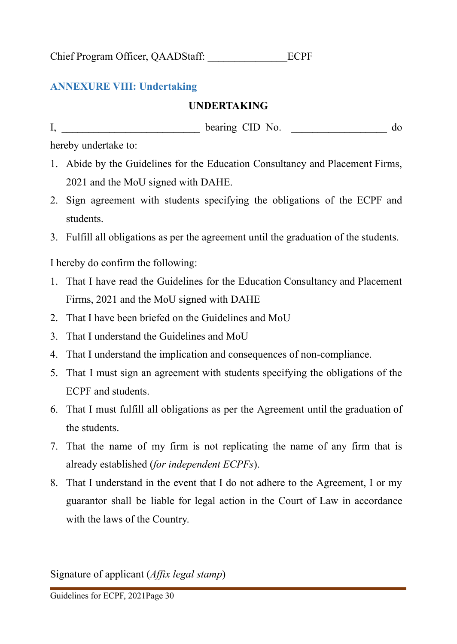<span id="page-36-0"></span>Chief Program Officer, QAADStaff: \_\_\_\_\_\_\_\_\_\_\_\_\_\_\_ECPF

### **ANNEXURE VIII: Undertaking**

#### **UNDERTAKING**

I, bearing CID No.  $\phi$ 

hereby undertake to:

- 1. Abide by the Guidelines for the Education Consultancy and Placement Firms, 2021 and the MoU signed with DAHE.
- 2. Sign agreement with students specifying the obligations of the ECPF and students.
- 3. Fulfill all obligations as per the agreement until the graduation of the students.

I hereby do confirm the following:

- 1. That I have read the Guidelines for the Education Consultancy and Placement Firms, 2021 and the MoU signed with DAHE
- 2. That I have been briefed on the Guidelines and MoU
- 3. That I understand the Guidelines and MoU
- 4. That I understand the implication and consequences of non-compliance.
- 5. That I must sign an agreement with students specifying the obligations of the ECPF and students.
- 6. That I must fulfill all obligations as per the Agreement until the graduation of the students.
- 7. That the name of my firm is not replicating the name of any firm that is already established (*for independent ECPFs*).
- 8. That I understand in the event that I do not adhere to the Agreement, I or my guarantor shall be liable for legal action in the Court of Law in accordance with the laws of the Country.

Signature of applicant (*Affix legal stamp*)

Guidelines for ECPF, 2021Page 30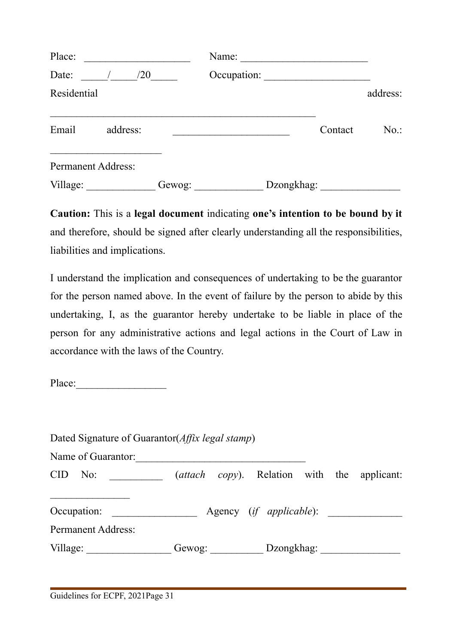| Place:             |          |        | Name:       |            |         |          |
|--------------------|----------|--------|-------------|------------|---------|----------|
| Date:              | /20      |        | Occupation: |            |         |          |
| Residential        |          |        |             |            |         | address: |
| Email              | address: |        |             |            | Contact | $No.$ :  |
| Permanent Address: |          |        |             |            |         |          |
| Village:           |          | Gewog: |             | Dzongkhag: |         |          |

**Caution:** This is a **legal document** indicating **one's intention to be bound by it** and therefore, should be signed after clearly understanding all the responsibilities, liabilities and implications.

I understand the implication and consequences of undertaking to be the guarantor for the person named above. In the event of failure by the person to abide by this undertaking, I, as the guarantor hereby undertake to be liable in place of the person for any administrative actions and legal actions in the Court of Law in accordance with the laws of the Country.

Place:\_\_\_\_\_\_\_\_\_\_\_\_\_\_\_\_\_

| Dated Signature of Guarantor( <i>Affix legal stamp</i> ) |                                                      |            |  |  |
|----------------------------------------------------------|------------------------------------------------------|------------|--|--|
| Name of Guarantor:                                       |                                                      |            |  |  |
| CID No:                                                  | ( <i>attach copy</i> ). Relation with the applicant: |            |  |  |
| Occupation:                                              | Agency ( <i>if applicable</i> ):                     |            |  |  |
| <b>Permanent Address:</b>                                |                                                      |            |  |  |
| Village:                                                 | Gewog:                                               | Dzongkhag: |  |  |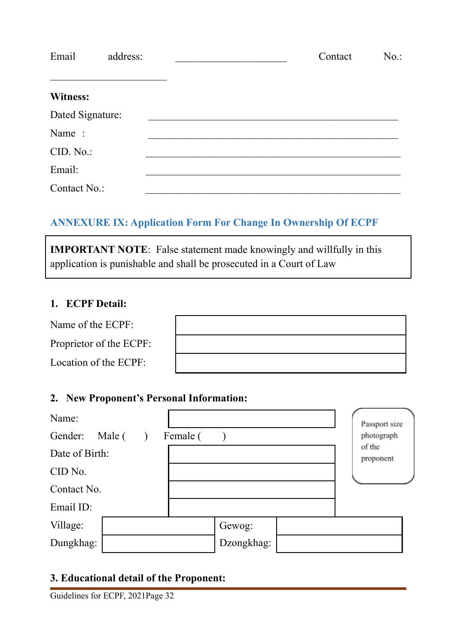| Email            | address: | Contact | $No.$ : |
|------------------|----------|---------|---------|
| <b>Witness:</b>  |          |         |         |
| Dated Signature: |          |         |         |
| Name:            |          |         |         |
| CID. No.:        |          |         |         |
| Email:           |          |         |         |
| Contact No.:     |          |         |         |

# <span id="page-38-0"></span>**ANNEXURE IX: Application Form For Change In Ownership Of ECPF**

**IMPORTANT NOTE**: False statement made knowingly and willfully in this application is punishable and shall be prosecuted in a Court of Law

#### **1. ECPF Detail:**

| Name of the ECPF:       |  |
|-------------------------|--|
| Proprietor of the ECPF: |  |
| Location of the ECPF:   |  |

#### **2. New Proponent's Personal Information:**

| Name:          |        |          |            | Passport size       |
|----------------|--------|----------|------------|---------------------|
| Gender:        | Male ( | Female ( |            | photograph          |
| Date of Birth: |        |          |            | of the<br>proponent |
| CID No.        |        |          |            |                     |
| Contact No.    |        |          |            |                     |
| Email ID:      |        |          |            |                     |
| Village:       |        |          | Gewog:     |                     |
| Dungkhag:      |        |          | Dzongkhag: |                     |

# **3. Educational detail of the Proponent:**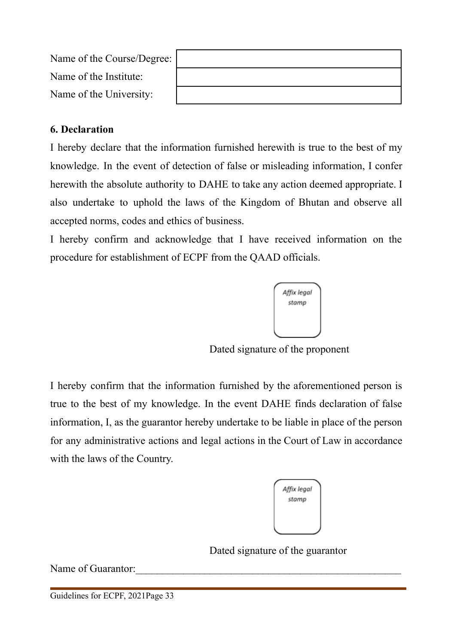| Name of the Course/Degree: |  |
|----------------------------|--|
| Name of the Institute:     |  |
| Name of the University:    |  |

#### **6. Declaration**

I hereby declare that the information furnished herewith is true to the best of my knowledge. In the event of detection of false or misleading information, I confer herewith the absolute authority to DAHE to take any action deemed appropriate. I also undertake to uphold the laws of the Kingdom of Bhutan and observe all accepted norms, codes and ethics of business.

I hereby confirm and acknowledge that I have received information on the procedure for establishment of ECPF from the QAAD officials.



Dated signature of the proponent

I hereby confirm that the information furnished by the aforementioned person is true to the best of my knowledge. In the event DAHE finds declaration of false information, I, as the guarantor hereby undertake to be liable in place of the person for any administrative actions and legal actions in the Court of Law in accordance with the laws of the Country.

| Affix legal |
|-------------|
| stamp       |
|             |
|             |
|             |

Dated signature of the guarantor

Name of Guarantor: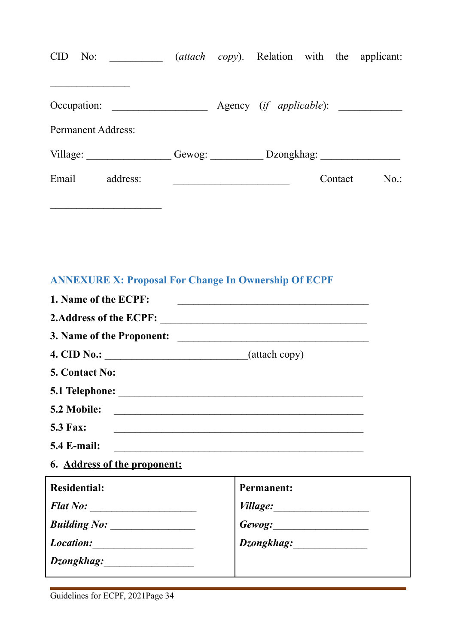| <b>CID</b><br>No:         |                        |                                  | ( <i>attach copy</i> ). Relation with the applicant: |
|---------------------------|------------------------|----------------------------------|------------------------------------------------------|
| Occupation:               |                        | Agency ( <i>if applicable</i> ): |                                                      |
| <b>Permanent Address:</b> |                        |                                  |                                                      |
| Village:                  | Gewog: $\qquad \qquad$ | Dzongkhag:                       |                                                      |
| Email<br>address:         |                        | Contact                          | $No.$ :                                              |

# <span id="page-40-0"></span>**ANNEXURE X: Proposal For Change In Ownership Of ECPF**

| 1. Name of the ECPF:                                                                                                                 |                                                                          |
|--------------------------------------------------------------------------------------------------------------------------------------|--------------------------------------------------------------------------|
|                                                                                                                                      |                                                                          |
|                                                                                                                                      |                                                                          |
|                                                                                                                                      |                                                                          |
| <b>5. Contact No:</b>                                                                                                                |                                                                          |
|                                                                                                                                      |                                                                          |
| 5.2 Mobile:<br><u> 1989 - Johann Stoff, deutscher Stoff, der Stoff, der Stoff, der Stoff, der Stoff, der Stoff, der Stoff, der S</u> |                                                                          |
| <b>5.3 Fax:</b>                                                                                                                      | <u> 1989 - Johann Stoff, amerikansk politiker (d. 1989)</u>              |
| <b>5.4 E-mail:</b>                                                                                                                   | <u> 1989 - Johann John Stein, mars an deus Amerikaansk kommunister (</u> |
| 6. Address of the proponent:                                                                                                         |                                                                          |
| <b>Residential:</b>                                                                                                                  | <b>Permanent:</b>                                                        |
| Flat No:                                                                                                                             |                                                                          |
| Building No: ________________                                                                                                        |                                                                          |
|                                                                                                                                      | Dzongkhag:                                                               |
|                                                                                                                                      |                                                                          |

 $\mathcal{L}_\text{max}$  , where  $\mathcal{L}_\text{max}$  , we have the set of  $\mathcal{L}_\text{max}$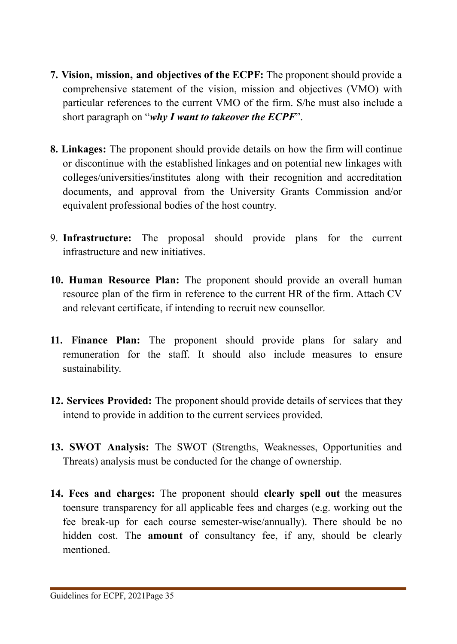- **7. Vision, mission, and objectives of the ECPF:** The proponent should provide a comprehensive statement of the vision, mission and objectives (VMO) with particular references to the current VMO of the firm. S/he must also include a short paragraph on "*why I want to takeover the ECPF*".
- **8. Linkages:** The proponent should provide details on how the firm will continue or discontinue with the established linkages and on potential new linkages with colleges/universities/institutes along with their recognition and accreditation documents, and approval from the University Grants Commission and/or equivalent professional bodies of the host country.
- 9. **Infrastructure:** The proposal should provide plans for the current infrastructure and new initiatives.
- **10. Human Resource Plan:** The proponent should provide an overall human resource plan of the firm in reference to the current HR of the firm. Attach CV and relevant certificate, if intending to recruit new counsellor.
- **11. Finance Plan:** The proponent should provide plans for salary and remuneration for the staff. It should also include measures to ensure sustainability.
- **12. Services Provided:** The proponent should provide details of services that they intend to provide in addition to the current services provided.
- **13. SWOT Analysis:** The SWOT (Strengths, Weaknesses, Opportunities and Threats) analysis must be conducted for the change of ownership.
- **14. Fees and charges:** The proponent should **clearly spell out** the measures toensure transparency for all applicable fees and charges (e.g. working out the fee break-up for each course semester-wise/annually). There should be no hidden cost. The **amount** of consultancy fee, if any, should be clearly mentioned.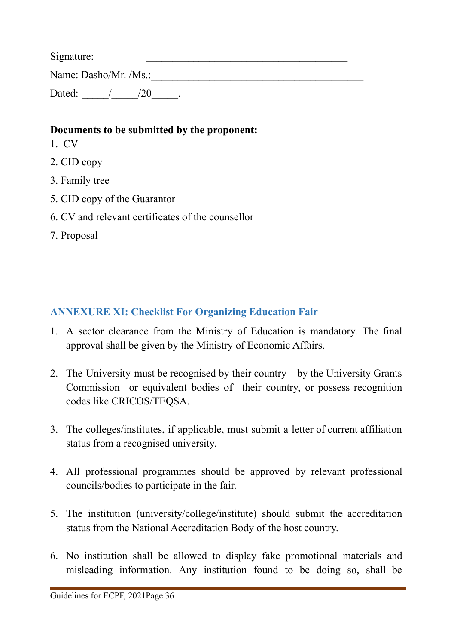$Signature:$ 

Name: Dasho/Mr. /Ms.:

Dated: / / /20 .

### **Documents to be submitted by the proponent:**

- 1. CV
- 2. CID copy
- 3. Family tree
- 5. CID copy of the Guarantor
- 6. CV and relevant certificates of the counsellor
- 7. Proposal

# <span id="page-42-0"></span>**ANNEXURE XI: Checklist For Organizing Education Fair**

- 1. A sector clearance from the Ministry of Education is mandatory. The final approval shall be given by the Ministry of Economic Affairs.
- 2. The University must be recognised by their country by the University Grants Commission or equivalent bodies of their country, or possess recognition codes like CRICOS/TEQSA.
- 3. The colleges/institutes, if applicable, must submit a letter of current affiliation status from a recognised university.
- 4. All professional programmes should be approved by relevant professional councils/bodies to participate in the fair.
- 5. The institution (university/college/institute) should submit the accreditation status from the National Accreditation Body of the host country.
- 6. No institution shall be allowed to display fake promotional materials and misleading information. Any institution found to be doing so, shall be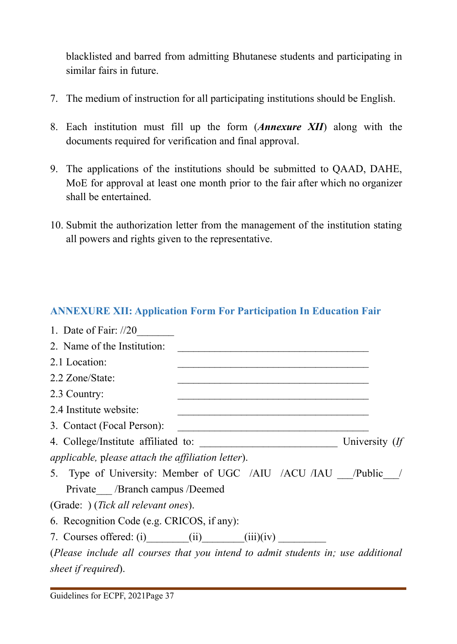blacklisted and barred from admitting Bhutanese students and participating in similar fairs in future.

- 7. The medium of instruction for all participating institutions should be English.
- 8. Each institution must fill up the form (*Annexure XII*) along with the documents required for verification and final approval.
- 9. The applications of the institutions should be submitted to QAAD, DAHE, MoE for approval at least one month prior to the fair after which no organizer shall be entertained.
- 10. Submit the authorization letter from the management of the institution stating all powers and rights given to the representative.

# <span id="page-43-0"></span>**ANNEXURE XII: Application Form For Participation In Education Fair**

| 1. Date of Fair: $1/20$                                                                                                                                                                                                                                            |                |
|--------------------------------------------------------------------------------------------------------------------------------------------------------------------------------------------------------------------------------------------------------------------|----------------|
| 2. Name of the Institution:                                                                                                                                                                                                                                        |                |
| 2.1 Location:<br><u> 1989 - Johann John Harrison, mars and deutscher Amerikaanse komme</u>                                                                                                                                                                         |                |
| 2.2 Zone/State:<br><u> 1989 - Johann John Stein, market fan de Amerikaanske kommunister (</u>                                                                                                                                                                      |                |
| 2.3 Country:                                                                                                                                                                                                                                                       |                |
| 2.4 Institute website:<br><u> 1989 - Johann John Stoff, deutscher Stoffen und der Stoffen und der Stoffen und der Stoffen und der Stoffen un</u>                                                                                                                   |                |
| 3. Contact (Focal Person):<br><u> 1989 - Johann Harry Harry Harry Harry Harry Harry Harry Harry Harry Harry Harry Harry Harry Harry Harry Harry Harry Harry Harry Harry Harry Harry Harry Harry Harry Harry Harry Harry Harry Harry Harry Harry Harry Harry Ha</u> |                |
|                                                                                                                                                                                                                                                                    | University (If |
| <i>applicable, please attach the affiliation letter).</i>                                                                                                                                                                                                          |                |
| 5. Type of University: Member of UGC /AIU /ACU /IAU /Public /                                                                                                                                                                                                      |                |
| Private / Branch campus / Deemed                                                                                                                                                                                                                                   |                |
| (Grade: ) ( <i>Tick all relevant ones</i> ).                                                                                                                                                                                                                       |                |
| 6. Recognition Code (e.g. CRICOS, if any):                                                                                                                                                                                                                         |                |
| 7. Courses offered: (i) $(i)$ $(ii)$ $(iii)(iv)$                                                                                                                                                                                                                   |                |
| (Please include all courses that you intend to admit students in; use additional                                                                                                                                                                                   |                |
| sheet if required).                                                                                                                                                                                                                                                |                |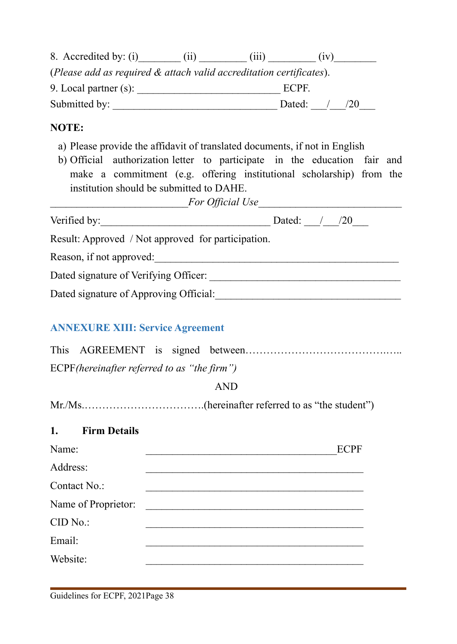| 8. Accredited by: (i)                                               | (11) | (111)       | (1V) |    |  |
|---------------------------------------------------------------------|------|-------------|------|----|--|
| (Please add as required & attach valid accreditation certificates). |      |             |      |    |  |
| 9. Local partner $(s)$ :                                            |      | <b>ECPF</b> |      |    |  |
| Submitted by:                                                       |      | Dated:      |      | 20 |  |

#### **NOTE:**

- a) Please provide the affidavit of translated documents, if not in English
- b) Official authorization letter to participate in the education fair and make a commitment (e.g. offering institutional scholarship) from the institution should be submitted to DAHE.

| For Official Use |
|------------------|
|                  |

| Verified by:                                       | Dated: |
|----------------------------------------------------|--------|
| Result: Approved / Not approved for participation. |        |
| Reason, if not approved:                           |        |
| Dated signature of Verifying Officer:              |        |
| Dated signature of Approving Official:             |        |

#### <span id="page-44-0"></span>**ANNEXURE XIII: Service Agreement**

| ECPF (hereinafter referred to as "the firm") |  |  |
|----------------------------------------------|--|--|

#### AND

Mr./Ms.…………………………….(hereinafter referred to as "the student")

#### **1. Firm Details**

| Name:               | <b>ECPF</b> |
|---------------------|-------------|
| Address:            |             |
| Contact No.:        |             |
| Name of Proprietor: |             |
| CID No.             |             |
| Email:              |             |
| Website:            |             |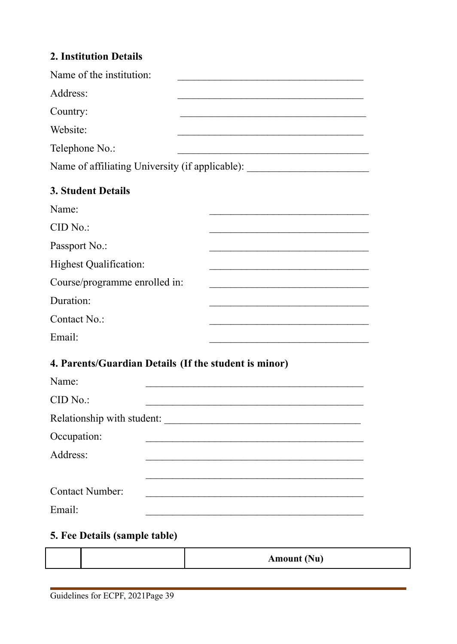### **2. Institution Details**

| Name of the institution:                              |                                                                                  |
|-------------------------------------------------------|----------------------------------------------------------------------------------|
| Address:                                              |                                                                                  |
| Country:                                              |                                                                                  |
| Website:                                              |                                                                                  |
| Telephone No.:                                        |                                                                                  |
|                                                       | Name of affiliating University (if applicable): ________________________________ |
| <b>3. Student Details</b>                             |                                                                                  |
| Name:                                                 |                                                                                  |
| CID No.                                               |                                                                                  |
| Passport No.:                                         |                                                                                  |
| <b>Highest Qualification:</b>                         |                                                                                  |
| Course/programme enrolled in:                         |                                                                                  |
| Duration:                                             |                                                                                  |
| Contact No.:                                          |                                                                                  |
| Email:                                                |                                                                                  |
| 4. Parents/Guardian Details (If the student is minor) |                                                                                  |
| Name:                                                 |                                                                                  |

CID No.: Relationship with student: Occupation: Address: \_\_\_\_\_\_\_\_\_\_\_\_\_\_\_\_\_\_\_\_\_\_\_\_\_\_\_\_\_\_\_\_\_\_\_\_\_\_\_\_\_ Contact Number: Email:

#### **5. Fee Details (sample table)**

|  | Amount (Nu) |
|--|-------------|
|  |             |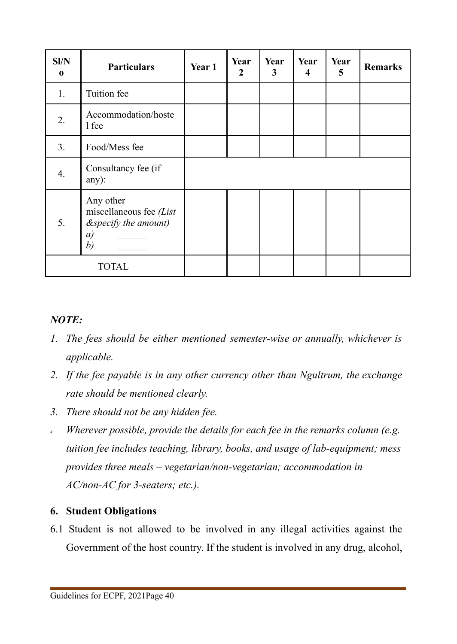| Sl/N<br>$\bf{0}$ | <b>Particulars</b>                                                          | Year 1 | Year<br>$\mathbf{2}$ | Year<br>3 | Year<br>4 | Year<br>5 | <b>Remarks</b> |
|------------------|-----------------------------------------------------------------------------|--------|----------------------|-----------|-----------|-----------|----------------|
| 1.               | Tuition fee                                                                 |        |                      |           |           |           |                |
| 2.               | Accommodation/hoste<br>1 fee                                                |        |                      |           |           |           |                |
| 3.               | Food/Mess fee                                                               |        |                      |           |           |           |                |
| 4.               | Consultancy fee (if<br>any):                                                |        |                      |           |           |           |                |
| 5.               | Any other<br>miscellaneous fee $(List)$<br>&specify the amount)<br>a)<br>b) |        |                      |           |           |           |                |
|                  | TOTAL                                                                       |        |                      |           |           |           |                |

### *NOTE:*

- *1. The fees should be either mentioned semester-wise or annually, whichever is applicable.*
- *2. If the fee payable is in any other currency other than Ngultrum, the exchange rate should be mentioned clearly.*
- *3. There should not be any hidden fee.*
- *4. Wherever possible, provide the details for each fee in the remarks column (e.g. tuition fee includes teaching, library, books, and usage of lab-equipment; mess provides three meals – vegetarian/non-vegetarian; accommodation in AC/non-AC for 3-seaters; etc.).*

#### **6. Student Obligations**

6.1 Student is not allowed to be involved in any illegal activities against the Government of the host country. If the student is involved in any drug, alcohol,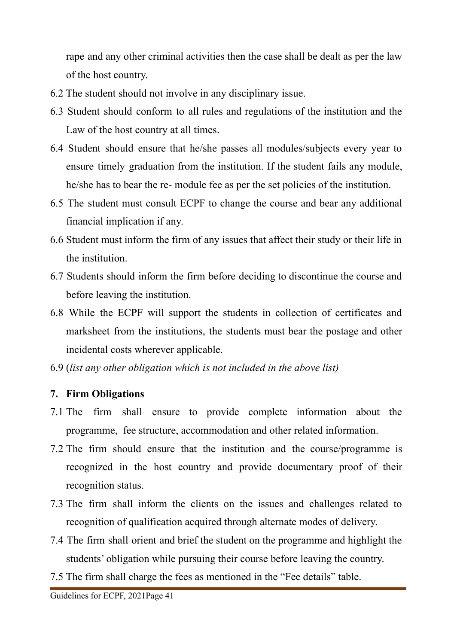rape and any other criminal activities then the case shall be dealt as per the law of the host country.

- 6.2 The student should not involve in any disciplinary issue.
- 6.3 Student should conform to all rules and regulations of the institution and the Law of the host country at all times.
- 6.4 Student should ensure that he/she passes all modules/subjects every year to ensure timely graduation from the institution. If the student fails any module, he/she has to bear the re- module fee as per the set policies of the institution.
- 6.5 The student must consult ECPF to change the course and bear any additional financial implication if any.
- 6.6 Student must inform the firm of any issues that affect their study or their life in the institution.
- 6.7 Students should inform the firm before deciding to discontinue the course and before leaving the institution.
- 6.8 While the ECPF will support the students in collection of certificates and marksheet from the institutions, the students must bear the postage and other incidental costs wherever applicable.
- 6.9 (*list any other obligation which is not included in the above list)*

# **7. Firm Obligations**

- 7.1 The firm shall ensure to provide complete information about the programme, fee structure, accommodation and other related information.
- 7.2 The firm should ensure that the institution and the course/programme is recognized in the host country and provide documentary proof of their recognition status.
- 7.3 The firm shall inform the clients on the issues and challenges related to recognition of qualification acquired through alternate modes of delivery.
- 7.4 The firm shall orient and brief the student on the programme and highlight the students' obligation while pursuing their course before leaving the country.
- 7.5 The firm shall charge the fees as mentioned in the "Fee details" table.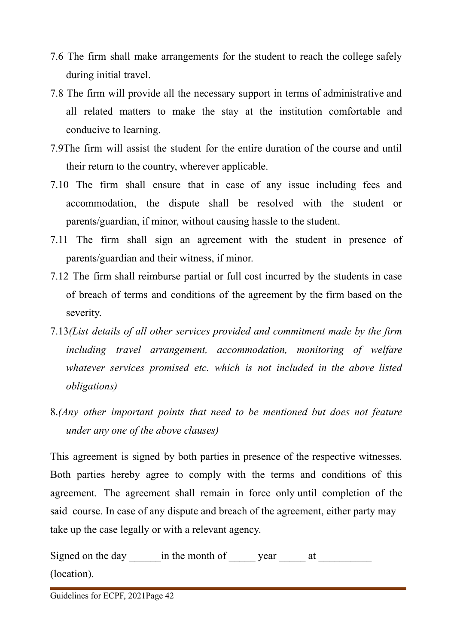- 7.6 The firm shall make arrangements for the student to reach the college safely during initial travel.
- 7.8 The firm will provide all the necessary support in terms of administrative and all related matters to make the stay at the institution comfortable and conducive to learning.
- 7.9The firm will assist the student for the entire duration of the course and until their return to the country, wherever applicable.
- 7.10 The firm shall ensure that in case of any issue including fees and accommodation, the dispute shall be resolved with the student or parents/guardian, if minor, without causing hassle to the student.
- 7.11 The firm shall sign an agreement with the student in presence of parents/guardian and their witness, if minor.
- 7.12 The firm shall reimburse partial or full cost incurred by the students in case of breach of terms and conditions of the agreement by the firm based on the severity.
- 7.13*(List details of all other services provided and commitment made by the firm including travel arrangement, accommodation, monitoring of welfare whatever services promised etc. which is not included in the above listed obligations)*
- 8.*(Any other important points that need to be mentioned but does not feature under any one of the above clauses)*

This agreement is signed by both parties in presence of the respective witnesses. Both parties hereby agree to comply with the terms and conditions of this agreement. The agreement shall remain in force only until completion of the said course. In case of any dispute and breach of the agreement, either party may take up the case legally or with a relevant agency.

| Signed on the day in the month of | vear |  |
|-----------------------------------|------|--|
| (location).                       |      |  |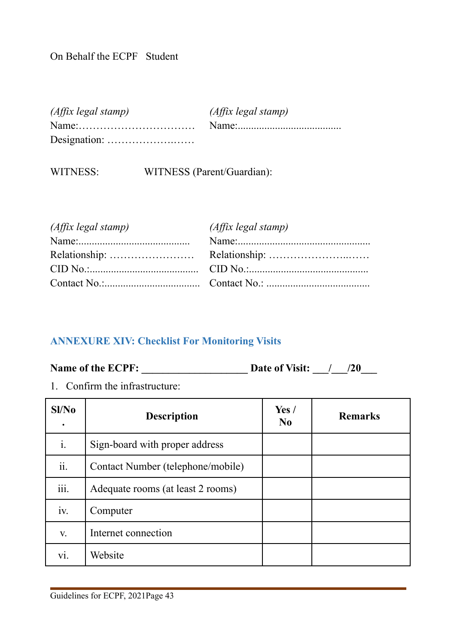# On Behalf the ECPF Student

| $(Affix \text{ legal stamp})$ | (Affix legal stamp) |
|-------------------------------|---------------------|
|                               |                     |
|                               |                     |

WITNESS: WITNESS (Parent/Guardian):

| $(Aff\ddot{\iota}x \, legal \, stamp)$ | (Affix legal stamp) |
|----------------------------------------|---------------------|
|                                        |                     |
|                                        |                     |
|                                        |                     |
|                                        |                     |

#### <span id="page-49-0"></span>**ANNEXURE XIV: Checklist For Monitoring Visits**

**Name of the ECPF: \_\_\_\_\_\_\_\_\_\_\_\_\_\_\_\_\_\_\_\_ Date of Visit: \_\_\_/\_\_\_/20\_\_\_**

1. Confirm the infrastructure:

| SI/No          | <b>Description</b>                | Yes/<br>$\bf No$ | <b>Remarks</b> |
|----------------|-----------------------------------|------------------|----------------|
| $\mathbf{i}$ . | Sign-board with proper address    |                  |                |
| ii.            | Contact Number (telephone/mobile) |                  |                |
| .<br>111.      | Adequate rooms (at least 2 rooms) |                  |                |
| 1V.            | Computer                          |                  |                |
| V.             | Internet connection               |                  |                |
| V1.            | Website                           |                  |                |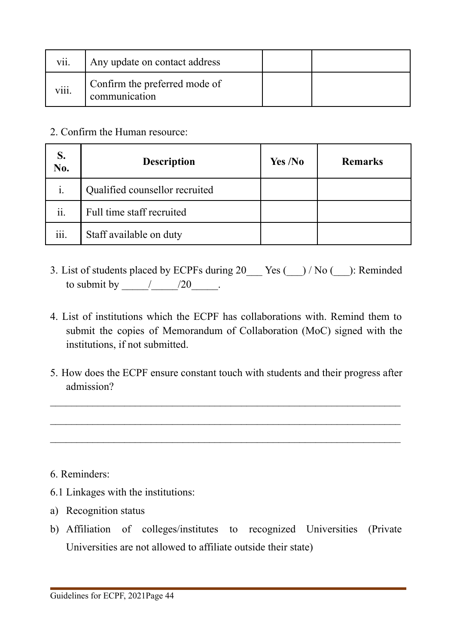| vii.              | Any update on contact address                  |  |
|-------------------|------------------------------------------------|--|
| $\cdots$<br>V111. | Confirm the preferred mode of<br>communication |  |

2. Confirm the Human resource:

| S.<br>No. | <b>Description</b>             | Yes /No | <b>Remarks</b> |
|-----------|--------------------------------|---------|----------------|
| i.        | Qualified counsellor recruited |         |                |
| ii.       | Full time staff recruited      |         |                |
| iii.      | Staff available on duty        |         |                |

- 3. List of students placed by ECPFs during 20  $\qquad$  Yes ( $\qquad$ ) / No ( $\qquad$ ): Reminded to submit by  $\frac{1}{20}$ .
- 4. List of institutions which the ECPF has collaborations with. Remind them to submit the copies of Memorandum of Collaboration (MoC) signed with the institutions, if not submitted.
- 5. How does the ECPF ensure constant touch with students and their progress after admission?

 $\mathcal{L}_\mathcal{L} = \mathcal{L}_\mathcal{L} = \mathcal{L}_\mathcal{L} = \mathcal{L}_\mathcal{L} = \mathcal{L}_\mathcal{L} = \mathcal{L}_\mathcal{L} = \mathcal{L}_\mathcal{L} = \mathcal{L}_\mathcal{L} = \mathcal{L}_\mathcal{L} = \mathcal{L}_\mathcal{L} = \mathcal{L}_\mathcal{L} = \mathcal{L}_\mathcal{L} = \mathcal{L}_\mathcal{L} = \mathcal{L}_\mathcal{L} = \mathcal{L}_\mathcal{L} = \mathcal{L}_\mathcal{L} = \mathcal{L}_\mathcal{L}$ 

 $\mathcal{L}_\mathcal{L} = \mathcal{L}_\mathcal{L} = \mathcal{L}_\mathcal{L} = \mathcal{L}_\mathcal{L} = \mathcal{L}_\mathcal{L} = \mathcal{L}_\mathcal{L} = \mathcal{L}_\mathcal{L} = \mathcal{L}_\mathcal{L} = \mathcal{L}_\mathcal{L} = \mathcal{L}_\mathcal{L} = \mathcal{L}_\mathcal{L} = \mathcal{L}_\mathcal{L} = \mathcal{L}_\mathcal{L} = \mathcal{L}_\mathcal{L} = \mathcal{L}_\mathcal{L} = \mathcal{L}_\mathcal{L} = \mathcal{L}_\mathcal{L}$ 

 $\mathcal{L}_\text{max} = \mathcal{L}_\text{max} = \mathcal{L}_\text{max} = \mathcal{L}_\text{max} = \mathcal{L}_\text{max} = \mathcal{L}_\text{max} = \mathcal{L}_\text{max} = \mathcal{L}_\text{max} = \mathcal{L}_\text{max} = \mathcal{L}_\text{max} = \mathcal{L}_\text{max} = \mathcal{L}_\text{max} = \mathcal{L}_\text{max} = \mathcal{L}_\text{max} = \mathcal{L}_\text{max} = \mathcal{L}_\text{max} = \mathcal{L}_\text{max} = \mathcal{L}_\text{max} = \mathcal{$ 

- 6. Reminders:
- 6.1 Linkages with the institutions:
- a) Recognition status
- b) Affiliation of colleges/institutes to recognized Universities (Private Universities are not allowed to affiliate outside their state)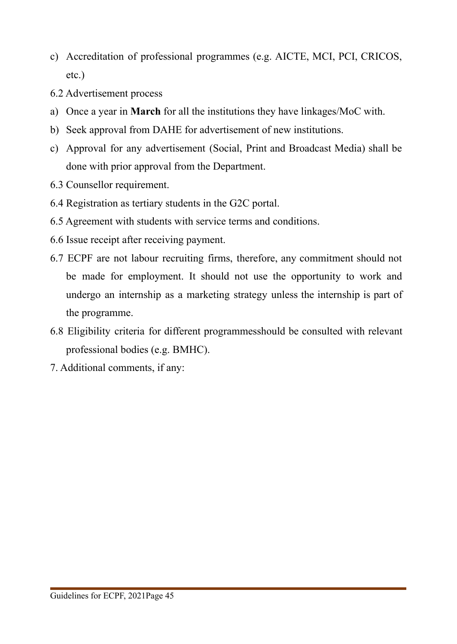- c) Accreditation of professional programmes (e.g. AICTE, MCI, PCI, CRICOS, etc.)
- 6.2 Advertisement process
- a) Once a year in **March** for all the institutions they have linkages/MoC with.
- b) Seek approval from DAHE for advertisement of new institutions.
- c) Approval for any advertisement (Social, Print and Broadcast Media) shall be done with prior approval from the Department.
- 6.3 Counsellor requirement.
- 6.4 Registration as tertiary students in the G2C portal.
- 6.5 Agreement with students with service terms and conditions.
- 6.6 Issue receipt after receiving payment.
- 6.7 ECPF are not labour recruiting firms, therefore, any commitment should not be made for employment. It should not use the opportunity to work and undergo an internship as a marketing strategy unless the internship is part of the programme.
- 6.8 Eligibility criteria for different programmesshould be consulted with relevant professional bodies (e.g. BMHC).
- 7. Additional comments, if any: